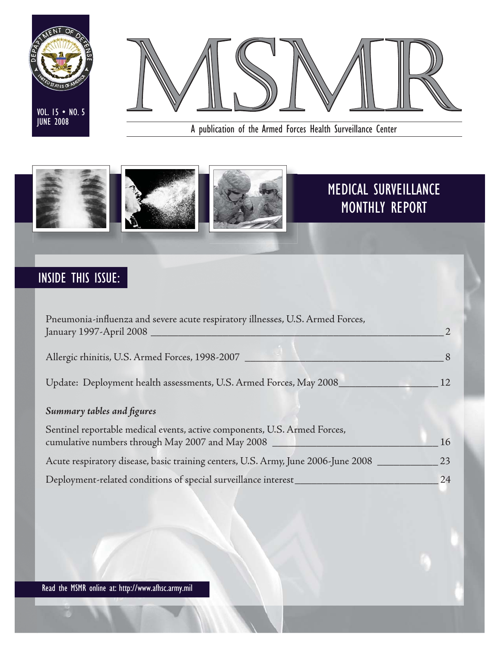



A publication of the Armed Forces Health Surveillance Center



# INSIDE THIS ISSUE:

| Pneumonia-influenza and severe acute respiratory illnesses, U.S. Armed Forces,<br>January 1997-April 2008                     |     |
|-------------------------------------------------------------------------------------------------------------------------------|-----|
| Allergic rhinitis, U.S. Armed Forces, 1998-2007                                                                               |     |
| Update: Deployment health assessments, U.S. Armed Forces, May 2008_                                                           | 12. |
| Summary tables and figures                                                                                                    |     |
| Sentinel reportable medical events, active components, U.S. Armed Forces,<br>cumulative numbers through May 2007 and May 2008 | 16  |
| Acute respiratory disease, basic training centers, U.S. Army, June 2006-June 2008                                             | 23  |
| Deployment-related conditions of special surveillance interest_                                                               | 24  |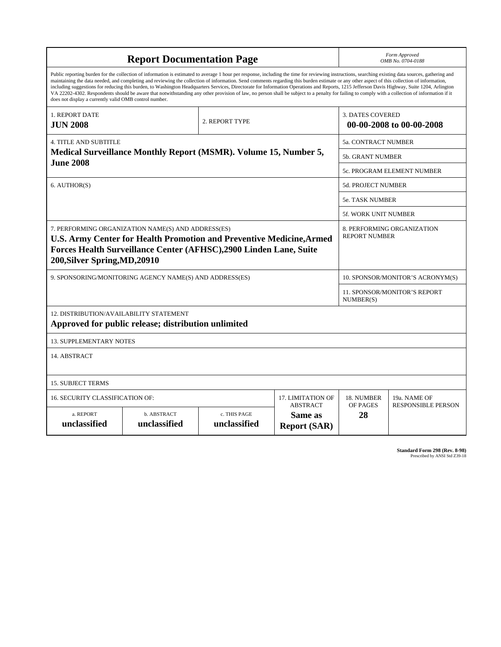|                                                        | <b>Report Documentation Page</b>                                                                                                                                                                                                                                                                                                                                                                                                                                                                                                                                                                                                                                                                                                                                                                         |                              |                                                   | Form Approved<br>OMB No. 0704-0188          |                                     |  |  |  |  |  |
|--------------------------------------------------------|----------------------------------------------------------------------------------------------------------------------------------------------------------------------------------------------------------------------------------------------------------------------------------------------------------------------------------------------------------------------------------------------------------------------------------------------------------------------------------------------------------------------------------------------------------------------------------------------------------------------------------------------------------------------------------------------------------------------------------------------------------------------------------------------------------|------------------------------|---------------------------------------------------|---------------------------------------------|-------------------------------------|--|--|--|--|--|
| does not display a currently valid OMB control number. | Public reporting burden for the collection of information is estimated to average 1 hour per response, including the time for reviewing instructions, searching existing data sources, gathering and<br>maintaining the data needed, and completing and reviewing the collection of information. Send comments regarding this burden estimate or any other aspect of this collection of information,<br>including suggestions for reducing this burden, to Washington Headquarters Services, Directorate for Information Operations and Reports, 1215 Jefferson Davis Highway, Suite 1204, Arlington<br>VA 22202-4302. Respondents should be aware that notwithstanding any other provision of law, no person shall be subject to a penalty for failing to comply with a collection of information if it |                              |                                                   |                                             |                                     |  |  |  |  |  |
| 1. REPORT DATE<br><b>JUN 2008</b>                      |                                                                                                                                                                                                                                                                                                                                                                                                                                                                                                                                                                                                                                                                                                                                                                                                          | 2. REPORT TYPE               |                                                   | <b>3. DATES COVERED</b>                     | 00-00-2008 to 00-00-2008            |  |  |  |  |  |
| <b>4. TITLE AND SUBTITLE</b>                           |                                                                                                                                                                                                                                                                                                                                                                                                                                                                                                                                                                                                                                                                                                                                                                                                          |                              |                                                   | <b>5a. CONTRACT NUMBER</b>                  |                                     |  |  |  |  |  |
| <b>June 2008</b>                                       | <b>Medical Surveillance Monthly Report (MSMR). Volume 15, Number 5,</b>                                                                                                                                                                                                                                                                                                                                                                                                                                                                                                                                                                                                                                                                                                                                  |                              |                                                   | <b>5b. GRANT NUMBER</b>                     |                                     |  |  |  |  |  |
|                                                        |                                                                                                                                                                                                                                                                                                                                                                                                                                                                                                                                                                                                                                                                                                                                                                                                          |                              |                                                   |                                             | 5c. PROGRAM ELEMENT NUMBER          |  |  |  |  |  |
| 6. AUTHOR(S)                                           |                                                                                                                                                                                                                                                                                                                                                                                                                                                                                                                                                                                                                                                                                                                                                                                                          |                              |                                                   | <b>5d. PROJECT NUMBER</b>                   |                                     |  |  |  |  |  |
|                                                        |                                                                                                                                                                                                                                                                                                                                                                                                                                                                                                                                                                                                                                                                                                                                                                                                          |                              |                                                   | <b>5e. TASK NUMBER</b>                      |                                     |  |  |  |  |  |
|                                                        |                                                                                                                                                                                                                                                                                                                                                                                                                                                                                                                                                                                                                                                                                                                                                                                                          |                              |                                                   | <b>5f. WORK UNIT NUMBER</b>                 |                                     |  |  |  |  |  |
| 200, Silver Spring, MD, 20910                          | 7. PERFORMING ORGANIZATION NAME(S) AND ADDRESS(ES)<br><b>U.S. Army Center for Health Promotion and Preventive Medicine, Armed</b><br>Forces Health Surveillance Center (AFHSC),2900 Linden Lane, Suite                                                                                                                                                                                                                                                                                                                                                                                                                                                                                                                                                                                                   |                              | <b>REPORT NUMBER</b>                              | 8. PERFORMING ORGANIZATION                  |                                     |  |  |  |  |  |
|                                                        | 9. SPONSORING/MONITORING AGENCY NAME(S) AND ADDRESS(ES)                                                                                                                                                                                                                                                                                                                                                                                                                                                                                                                                                                                                                                                                                                                                                  |                              |                                                   | 10. SPONSOR/MONITOR'S ACRONYM(S)            |                                     |  |  |  |  |  |
|                                                        |                                                                                                                                                                                                                                                                                                                                                                                                                                                                                                                                                                                                                                                                                                                                                                                                          |                              |                                                   | NUMBER(S)                                   | <b>11. SPONSOR/MONITOR'S REPORT</b> |  |  |  |  |  |
| 12. DISTRIBUTION/AVAILABILITY STATEMENT                | Approved for public release; distribution unlimited                                                                                                                                                                                                                                                                                                                                                                                                                                                                                                                                                                                                                                                                                                                                                      |                              |                                                   |                                             |                                     |  |  |  |  |  |
| <b>13. SUPPLEMENTARY NOTES</b>                         |                                                                                                                                                                                                                                                                                                                                                                                                                                                                                                                                                                                                                                                                                                                                                                                                          |                              |                                                   |                                             |                                     |  |  |  |  |  |
| 14. ABSTRACT                                           |                                                                                                                                                                                                                                                                                                                                                                                                                                                                                                                                                                                                                                                                                                                                                                                                          |                              |                                                   |                                             |                                     |  |  |  |  |  |
| <b>15. SUBJECT TERMS</b>                               |                                                                                                                                                                                                                                                                                                                                                                                                                                                                                                                                                                                                                                                                                                                                                                                                          |                              |                                                   |                                             |                                     |  |  |  |  |  |
| <b>16. SECURITY CLASSIFICATION OF:</b>                 |                                                                                                                                                                                                                                                                                                                                                                                                                                                                                                                                                                                                                                                                                                                                                                                                          |                              | 17. LIMITATION OF                                 | 18. NUMBER                                  | 19a. NAME OF                        |  |  |  |  |  |
| a. REPORT<br>unclassified                              | b. ABSTRACT<br>unclassified                                                                                                                                                                                                                                                                                                                                                                                                                                                                                                                                                                                                                                                                                                                                                                              | c. THIS PAGE<br>unclassified | <b>ABSTRACT</b><br>Same as<br><b>Report (SAR)</b> | OF PAGES<br><b>RESPONSIBLE PERSON</b><br>28 |                                     |  |  |  |  |  |

**Standard Form 298 (Rev. 8-98)**<br>Prescribed by ANSI Std Z39-18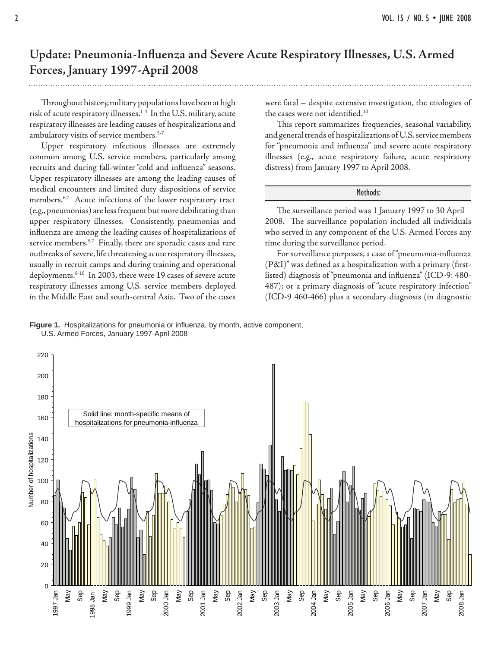### Update: Pneumonia-Influenza and Severe Acute Respiratory Illnesses, U.S. Armed **Forces, January 1997-April 2008**

 Th roughout history, military populations have been at high risk of acute respiratory illnesses.1-4 In the U.S. military, acute respiratory illnesses are leading causes of hospitalizations and ambulatory visits of service members.<sup>5-7</sup>

 Upper respiratory infectious illnesses are extremely common among U.S. service members, particularly among recruits and during fall-winter "cold and influenza" seasons. Upper respiratory illnesses are among the leading causes of medical encounters and limited duty dispositions of service members.<sup>6,7</sup> Acute infections of the lower respiratory tract (e.g., pneumonias) are less frequent but more debilitating than upper respiratory illnesses. Consistently, pneumonias and influenza are among the leading causes of hospitalizations of service members.<sup>5,7</sup> Finally, there are sporadic cases and rare outbreaks of severe, life threatening acute respiratory illnesses, usually in recruit camps and during training and operational deployments.8-10 In 2003, there were 19 cases of severe acute respiratory illnesses among U.S. service members deployed in the Middle East and south-central Asia. Two of the cases were fatal – despite extensive investigation, the etiologies of the cases were not identified. $10$ 

This report summarizes frequencies, seasonal variability, and general trends of hospitalizations of U.S. service members for "pneumonia and influenza" and severe acute respiratory illnesses (e.g., acute respiratory failure, acute respiratory distress) from January 1997 to April 2008.

#### Methods:

The surveillance period was 1 January 1997 to 30 April 2008. The surveillance population included all individuals who served in any component of the U.S. Armed Forces any time during the surveillance period.

For surveillance purposes, a case of "pneumonia-influenza  $(P\&I)"$  was defined as a hospitalization with a primary (firstlisted) diagnosis of "pneumonia and influenza" (ICD-9: 480-487); or a primary diagnosis of "acute respiratory infection" (ICD-9 460-466) plus a secondary diagnosis (in diagnostic

**Figure 1.** Hospitalizations for pneumonia or influenza, by month, active component, U.S. Armed Forces, January 1997-April 2008

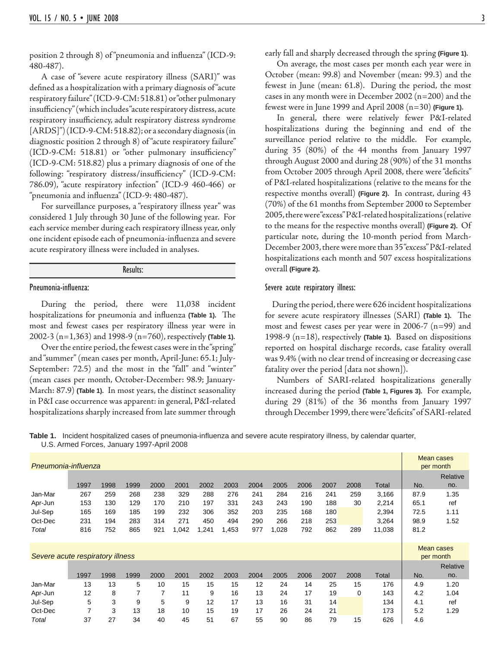position 2 through 8) of "pneumonia and influenza" (ICD-9: 480-487).

 A case of "severe acute respiratory illness (SARI)" was defined as a hospitalization with a primary diagnosis of "acute respiratory failure" (ICD-9-CM: 518.81) or "other pulmonary insufficiency" (which includes "acute respiratory distress, acute respiratory insufficiency, adult respiratory distress syndrome [ARDS]") (ICD-9-CM: 518.82); or a secondary diagnosis (in diagnostic position 2 through 8) of "acute respiratory failure" (ICD-9-CM: 518.81) or "other pulmonary insufficiency" (ICD-9-CM: 518.82) plus a primary diagnosis of one of the following: "respiratory distress/insufficiency" (ICD-9-CM: 786.09), "acute respiratory infection" (ICD-9 460-466) or "pneumonia and influenza" (ICD-9: 480-487).

 For surveillance purposes, a "respiratory illness year" was considered 1 July through 30 June of the following year. For each service member during each respiratory illness year, only one incident episode each of pneumonia-influenza and severe acute respiratory illness were included in analyses.

#### Results:

#### Pneumonia-influenza:

 During the period, there were 11,038 incident hospitalizations for pneumonia and influenza (Table 1). The most and fewest cases per respiratory illness year were in 2002-3 (n=1,363) and 1998-9 (n=760), respectively **(Table 1).**

 Over the entire period, the fewest cases were in the "spring" and "summer" (mean cases per month, April-June: 65.1; July-September: 72.5) and the most in the "fall" and "winter" (mean cases per month, October-December: 98.9; January-March: 87.9) **(Table 1).** In most years, the distinct seasonality in P&I case occurrence was apparent: in general, P&I-related hospitalizations sharply increased from late summer through

early fall and sharply decreased through the spring **(Figure 1).**

 On average, the most cases per month each year were in October (mean: 99.8) and November (mean: 99.3) and the fewest in June (mean: 61.8). During the period, the most cases in any month were in December 2002 (n=200) and the fewest were in June 1999 and April 2008 (n=30) **(Figure 1)**.

 In general, there were relatively fewer P&I-related hospitalizations during the beginning and end of the surveillance period relative to the middle. For example, during 35 (80%) of the 44 months from January 1997 through August 2000 and during 28 (90%) of the 31 months from October 2005 through April 2008, there were "deficits" of P&I-related hospitalizations (relative to the means for the respective months overall) **(Figure 2).** In contrast, during 43 (70%) of the 61 months from September 2000 to September 2005, there were "excess" P&I-related hospitalizations (relative to the means for the respective months overall) **(Figure 2).** Of particular note, during the 10-month period from March-December 2003, there were more than 35 "excess" P&I-related hospitalizations each month and 507 excess hospitalizations overall **(Figure 2).**

#### Severe acute respiratory illness:

 During the period, there were 626 incident hospitalizations for severe acute respiratory illnesses (SARI) (Table 1). The most and fewest cases per year were in 2006-7 (n=99) and 1998-9 (n=18), respectively **(Table 1).** Based on dispositions reported on hospital discharge records, case fatality overall was 9.4% (with no clear trend of increasing or decreasing case fatality over the period [data not shown]).

 Numbers of SARI-related hospitalizations generally increased during the period **(Table 1, Figures 3).** For example, during 29 (81%) of the 36 months from January 1997 through December 1999, there were "deficits" of SARI-related

Table 1. Incident hospitalized cases of pneumonia-influenza and severe acute respiratory illness, by calendar quarter, U.S. Armed Forces, January 1997-April 2008

| Pneumonia-influenza              |      |      |      |      |       |       |       |      |      |      |      |      |        |      | Mean cases<br>per month |
|----------------------------------|------|------|------|------|-------|-------|-------|------|------|------|------|------|--------|------|-------------------------|
|                                  |      |      |      |      |       |       |       |      |      |      |      |      |        |      | Relative                |
|                                  | 1997 | 1998 | 1999 | 2000 | 2001  | 2002  | 2003  | 2004 | 2005 | 2006 | 2007 | 2008 | Total  | No.  | no.                     |
| Jan-Mar                          | 267  | 259  | 268  | 238  | 329   | 288   | 276   | 241  | 284  | 216  | 241  | 259  | 3,166  | 87.9 | 1.35                    |
| Apr-Jun                          | 153  | 130  | 129  | 170  | 210   | 197   | 331   | 243  | 243  | 190  | 188  | 30   | 2,214  | 65.1 | ref                     |
| Jul-Sep                          | 165  | 169  | 185  | 199  | 232   | 306   | 352   | 203  | 235  | 168  | 180  |      | 2,394  | 72.5 | 1.11                    |
| Oct-Dec                          | 231  | 194  | 283  | 314  | 271   | 450   | 494   | 290  | 266  | 218  | 253  |      | 3,264  | 98.9 | 1.52                    |
| Total                            | 816  | 752  | 865  | 921  | 1,042 | 1,241 | 1,453 | 977  | ,028 | 792  | 862  | 289  | 11,038 | 81.2 |                         |
|                                  |      |      |      |      |       |       |       |      |      |      |      |      |        |      |                         |
|                                  |      |      |      |      |       |       |       |      |      |      |      |      |        |      | <b>Mean cases</b>       |
| Severe acute respiratory illness |      |      |      |      |       |       |       |      |      |      |      |      |        |      | per month               |
|                                  |      |      |      |      |       |       |       |      |      |      |      |      |        |      | Relative                |
|                                  | 1997 | 1998 | 1999 | 2000 | 2001  | 2002  | 2003  | 2004 | 2005 | 2006 | 2007 | 2008 | Total  | No.  | no.                     |
| Jan-Mar                          | 13   | 13   | 5    | 10   | 15    | 15    | 15    | 12   | 24   | 14   | 25   | 15   | 176    | 4.9  | 1.20                    |
| Apr-Jun                          | 12   | 8    | 7    | 7    | 11    | 9     | 16    | 13   | 24   | 17   | 19   | 0    | 143    | 4.2  | 1.04                    |
| Jul-Sep                          | 5    | 3    | 9    | 5    | 9     | 12    | 17    | 13   | 16   | 31   | 14   |      | 134    | 4.1  | ref                     |
| Oct-Dec                          | 7    | 3    | 13   | 18   | 10    | 15    | 19    | 17   | 26   | 24   | 21   |      | 173    | 5.2  | 1.29                    |
| Total                            | 37   | 27   | 34   | 40   | 45    | 51    | 67    | 55   | 90   | 86   | 79   | 15   | 626    | 4.6  |                         |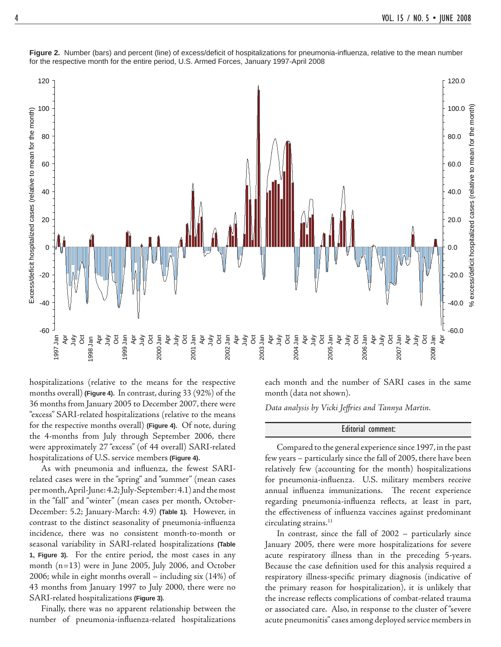

Figure 2. Number (bars) and percent (line) of excess/deficit of hospitalizations for pneumonia-influenza, relative to the mean number for the respective month for the entire period, U.S. Armed Forces, January 1997-April 2008

hospitalizations (relative to the means for the respective months overall) **(Figure 4)**. In contrast, during 33 (92%) of the 36 months from January 2005 to December 2007, there were "excess" SARI-related hospitalizations (relative to the means for the respective months overall) **(Figure 4)**. Of note, during the 4-months from July through September 2006, there were approximately 27 "excess" (of 44 overall) SARI-related hospitalizations of U.S. service members **(Figure 4)**.

As with pneumonia and influenza, the fewest SARIrelated cases were in the "spring" and "summer" (mean cases per month, April-June: 4.2; July-September: 4.1) and the most in the "fall" and "winter" (mean cases per month, October-December: 5.2; January-March: 4.9) **(Table 1).** However, in contrast to the distinct seasonality of pneumonia-influenza incidence, there was no consistent month-to-month or seasonal variability in SARI-related hospitalizations **(Table 1, Figure 3).** For the entire period, the most cases in any month (n=13) were in June 2005, July 2006, and October 2006; while in eight months overall – including six (14%) of 43 months from January 1997 to July 2000, there were no SARI-related hospitalizations **(Figure 3).**

 Finally, there was no apparent relationship between the number of pneumonia-influenza-related hospitalizations

each month and the number of SARI cases in the same month (data not shown).

*Data analysis by Vicki Jeff ries and Tannya Martin.*

#### Editorial comment:

 Compared to the general experience since 1997, in the past few years – particularly since the fall of 2005, there have been relatively few (accounting for the month) hospitalizations for pneumonia-influenza. U.S. military members receive annual influenza immunizations. The recent experience regarding pneumonia-influenza reflects, at least in part, the effectiveness of influenza vaccines against predominant circulating strains.<sup>11</sup>

 In contrast, since the fall of 2002 – particularly since January 2005, there were more hospitalizations for severe acute respiratory illness than in the preceding 5-years. Because the case definition used for this analysis required a respiratory illness-specific primary diagnosis (indicative of the primary reason for hospitalization), it is unlikely that the increase reflects complications of combat-related trauma or associated care. Also, in response to the cluster of "severe acute pneumonitis" cases among deployed service members in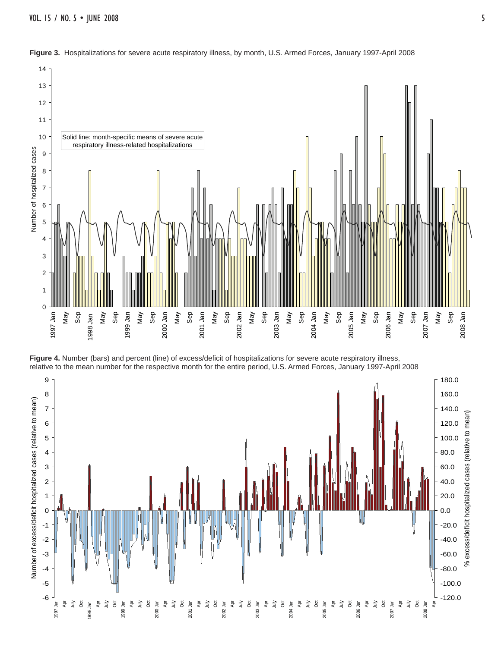





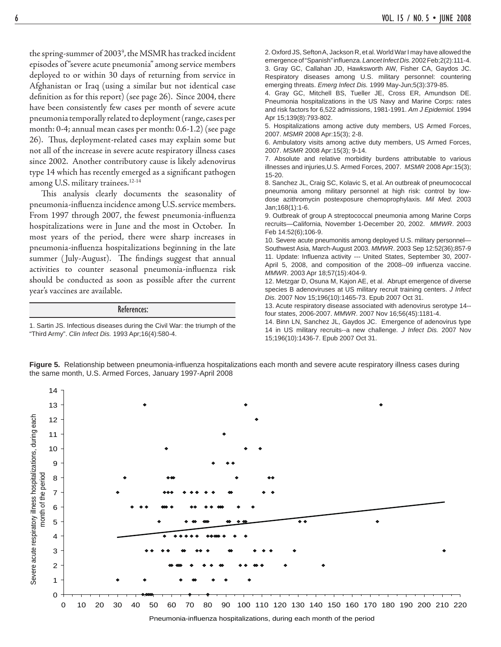the spring-summer of 20039 , the MSMR has tracked incident episodes of "severe acute pneumonia" among service members deployed to or within 30 days of returning from service in Afghanistan or Iraq (using a similar but not identical case definition as for this report) (see page 26). Since 2004, there have been consistently few cases per month of severe acute pneumonia temporally related to deployment (range, cases per month: 0-4; annual mean cases per month: 0.6-1.2) (see page 26). Thus, deployment-related cases may explain some but not all of the increase in severe acute respiratory illness cases since 2002. Another contributory cause is likely adenovirus type 14 which has recently emerged as a significant pathogen among U.S. military trainees.<sup>12-14</sup>

This analysis clearly documents the seasonality of pneumonia-influenza incidence among U.S. service members. From 1997 through 2007, the fewest pneumonia-influenza hospitalizations were in June and the most in October. In most years of the period, there were sharp increases in pneumonia-influenza hospitalizations beginning in the late summer (July-August). The findings suggest that annual activities to counter seasonal pneumonia-influenza risk should be conducted as soon as possible after the current year's vaccines are available.

#### References:

1. Sartin JS. Infectious diseases during the Civil War: the triumph of the "Third Army". *Clin Infect Dis.* 1993 Apr;16(4):580-4.

2. Oxford JS, Sefton A, Jackson R, et al. World War I may have allowed the emergence of "Spanish" influenza. *Lancet Infect Dis.* 2002 Feb; 2(2): 111-4. 3. Gray GC, Callahan JD, Hawksworth AW, Fisher CA, Gaydos JC. Respiratory diseases among U.S. military personnel: countering emerging threats. *Emerg Infect Dis.* 1999 May-Jun;5(3):379-85.

4. Gray GC, Mitchell BS, Tueller JE, Cross ER, Amundson DE. Pneumonia hospitalizations in the US Navy and Marine Corps: rates and risk factors for 6,522 admissions, 1981-1991. *Am J Epidemiol.* 1994 Apr 15;139(8):793-802.

5. Hospitalizations among active duty members, US Armed Forces, 2007. *MSMR* 2008 Apr:15(3); 2-8.

6. Ambulatory visits among active duty members, US Armed Forces, 2007. *MSMR* 2008 Apr:15(3); 9-14.

7. Absolute and relative morbidity burdens attributable to various illnesses and injuries,U.S. Armed Forces, 2007. *MSMR* 2008 Apr:15(3); 15-20.

8. Sanchez JL, Craig SC, Kolavic S, et al. An outbreak of pneumococcal pneumonia among military personnel at high risk: control by lowdose azithromycin postexposure chemoprophylaxis. *Mil Med.* 2003 Jan;168(1):1-6.

9. Outbreak of group A streptococcal pneumonia among Marine Corps recruits—California, November 1-December 20, 2002. *MMWR*. 2003 Feb 14:52(6);106-9.

10. Severe acute pneumonitis among deployed U.S. military personnel— Southwest Asia, March-August 2003. *MMWR*. 2003 Sep 12:52(36);857-9 11. Update: Influenza activity --- United States, September 30, 2007-April 5, 2008, and composition of the 2008--09 influenza vaccine. *MMWR*. 2003 Apr 18;57(15):404-9.

12. Metzgar D, Osuna M, Kajon AE, et al. Abrupt emergence of diverse species B adenoviruses at US military recruit training centers. *J Infect Dis.* 2007 Nov 15;196(10):1465-73. Epub 2007 Oct 31.

13. Acute respiratory disease associated with adenovirus serotype 14- four states, 2006-2007. *MMWR*. 2007 Nov 16;56(45):1181-4.

14. Binn LN, Sanchez JL, Gaydos JC. Emergence of adenovirus type 14 in US military recruits--a new challenge. *J Infect Dis.* 2007 Nov 15;196(10):1436-7. Epub 2007 Oct 31.



Figure 5. Relationship between pneumonia-influenza hospitalizations each month and severe acute respiratory illness cases during the same month, U.S. Armed Forces, January 1997-April 2008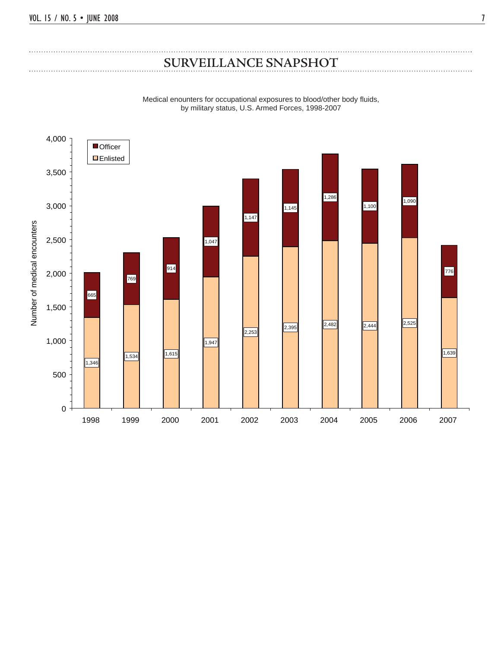### **SURVEILLANCE SNAPSHOT**

Medical enounters for occupational exposures to blood/other body fluids, by military status, U.S. Armed Forces, 1998-2007

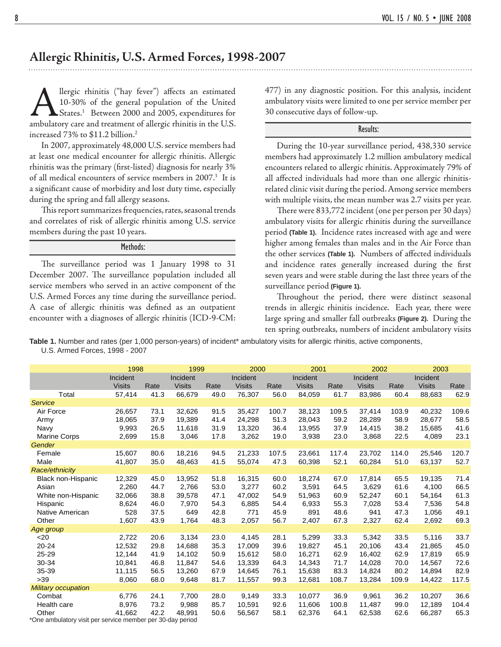### **Allergic Rhinitis, U.S. Armed Forces, 1998-2007**

Allergic rhinitis ("hay fever") affects an estimated 10-30% of the general population of the United States.<sup>1</sup> Between 2000 and 2005, expenditures for ambulatory care and treatment of allergic rhinitis in the U.S. 10-30% of the general population of the United States.<sup>1</sup> Between 2000 and 2005, expenditures for increased 73% to \$11.2 billion.2

 In 2007, approximately 48,000 U.S. service members had at least one medical encounter for allergic rhinitis. Allergic rhinitis was the primary (first-listed) diagnosis for nearly 3% of all medical encounters of service members in 2007.<sup>3</sup> It is a significant cause of morbidity and lost duty time, especially during the spring and fall allergy seasons.

This report summarizes frequencies, rates, seasonal trends and correlates of risk of allergic rhinitis among U.S. service members during the past 10 years.

#### Methods:

The surveillance period was 1 January 1998 to 31 December 2007. The surveillance population included all service members who served in an active component of the U.S. Armed Forces any time during the surveillance period. A case of allergic rhinitis was defined as an outpatient encounter with a diagnoses of allergic rhinitis (ICD-9-CM: 477) in any diagnostic position. For this analysis, incident ambulatory visits were limited to one per service member per 30 consecutive days of follow-up.

#### Results:

 During the 10-year surveillance period, 438,330 service members had approximately 1.2 million ambulatory medical encounters related to allergic rhinitis. Approximately 79% of all aff ected individuals had more than one allergic rhinitisrelated clinic visit during the period. Among service members with multiple visits, the mean number was 2.7 visits per year.

There were 833,772 incident (one per person per 30 days) ambulatory visits for allergic rhinitis during the surveillance period **(Table 1).** Incidence rates increased with age and were higher among females than males and in the Air Force than the other services (Table 1). Numbers of affected individuals and incidence rates generally increased during the first seven years and were stable during the last three years of the surveillance period **(Figure 1).**

Throughout the period, there were distinct seasonal trends in allergic rhinitis incidence. Each year, there were large spring and smaller fall outbreaks **(Figure 2).** During the ten spring outbreaks, numbers of incident ambulatory visits

**Table 1.** Number and rates (per 1,000 person-years) of incident\* ambulatory visits for allergic rhinitis, active components, U.S. Armed Forces, 1998 - 2007

|                                                                     | 1998          |      | 1999          |      | 2000          |       | 2001          |       | 2002          |       | 2003          |       |  |
|---------------------------------------------------------------------|---------------|------|---------------|------|---------------|-------|---------------|-------|---------------|-------|---------------|-------|--|
|                                                                     | Incident      |      | Incident      |      | Incident      |       | Incident      |       | Incident      |       | Incident      |       |  |
|                                                                     | <b>Visits</b> | Rate | <b>Visits</b> | Rate | <b>Visits</b> | Rate  | <b>Visits</b> | Rate  | <b>Visits</b> | Rate  | <b>Visits</b> | Rate  |  |
| Total                                                               | 57,414        | 41.3 | 66,679        | 49.0 | 76,307        | 56.0  | 84,059        | 61.7  | 83,986        | 60.4  | 88,683        | 62.9  |  |
| <b>Service</b>                                                      |               |      |               |      |               |       |               |       |               |       |               |       |  |
| Air Force                                                           | 26,657        | 73.1 | 32,626        | 91.5 | 35,427        | 100.7 | 38,123        | 109.5 | 37,414        | 103.9 | 40,232        | 109.6 |  |
| Army                                                                | 18,065        | 37.9 | 19,389        | 41.4 | 24,298        | 51.3  | 28,043        | 59.2  | 28,289        | 58.9  | 28,677        | 58.5  |  |
| Navy                                                                | 9,993         | 26.5 | 11,618        | 31.9 | 13,320        | 36.4  | 13,955        | 37.9  | 14,415        | 38.2  | 15,685        | 41.6  |  |
| <b>Marine Corps</b>                                                 | 2,699         | 15.8 | 3,046         | 17.8 | 3,262         | 19.0  | 3,938         | 23.0  | 3,868         | 22.5  | 4,089         | 23.1  |  |
| Gender                                                              |               |      |               |      |               |       |               |       |               |       |               |       |  |
| Female                                                              | 15.607        | 80.6 | 18.216        | 94.5 | 21.233        | 107.5 | 23.661        | 117.4 | 23.702        | 114.0 | 25,546        | 120.7 |  |
| Male                                                                | 41,807        | 35.0 | 48,463        | 41.5 | 55,074        | 47.3  | 60,398        | 52.1  | 60,284        | 51.0  | 63,137        | 52.7  |  |
| Race/ethnicity                                                      |               |      |               |      |               |       |               |       |               |       |               |       |  |
| <b>Black non-Hispanic</b>                                           | 12,329        | 45.0 | 13,952        | 51.8 | 16,315        | 60.0  | 18,274        | 67.0  | 17,814        | 65.5  | 19,135        | 71.4  |  |
| Asian                                                               | 2,260         | 44.7 | 2,766         | 53.0 | 3,277         | 60.2  | 3,591         | 64.5  | 3,629         | 61.6  | 4,100         | 66.5  |  |
| White non-Hispanic                                                  | 32,066        | 38.8 | 39,578        | 47.1 | 47,002        | 54.9  | 51,963        | 60.9  | 52,247        | 60.1  | 54,164        | 61.3  |  |
| Hispanic                                                            | 8,624         | 46.0 | 7,970         | 54.3 | 6.885         | 54.4  | 6,933         | 55.3  | 7,028         | 53.4  | 7,536         | 54.8  |  |
| Native American                                                     | 528           | 37.5 | 649           | 42.8 | 771           | 45.9  | 891           | 48.6  | 941           | 47.3  | 1,056         | 49.1  |  |
| Other                                                               | 1,607         | 43.9 | 1,764         | 48.3 | 2,057         | 56.7  | 2,407         | 67.3  | 2,327         | 62.4  | 2,692         | 69.3  |  |
| Age group                                                           |               |      |               |      |               |       |               |       |               |       |               |       |  |
| $20$                                                                | 2,722         | 20.6 | 3,134         | 23.0 | 4,145         | 28.1  | 5,299         | 33.3  | 5,342         | 33.5  | 5,116         | 33.7  |  |
| 20-24                                                               | 12,532        | 29.8 | 14,688        | 35.3 | 17.009        | 39.6  | 19.827        | 45.1  | 20.106        | 43.4  | 21.865        | 45.0  |  |
| 25-29                                                               | 12,144        | 41.9 | 14,102        | 50.9 | 15,612        | 58.0  | 16,271        | 62.9  | 16,402        | 62.9  | 17,819        | 65.9  |  |
| 30-34                                                               | 10,841        | 46.8 | 11,847        | 54.6 | 13,339        | 64.3  | 14.343        | 71.7  | 14,028        | 70.0  | 14,567        | 72.6  |  |
| 35-39                                                               | 11,115        | 56.5 | 13,260        | 67.9 | 14,645        | 76.1  | 15,638        | 83.3  | 14,824        | 80.2  | 14,894        | 82.9  |  |
| >39                                                                 | 8,060         | 68.0 | 9,648         | 81.7 | 11,557        | 99.3  | 12,681        | 108.7 | 13,284        | 109.9 | 14,422        | 117.5 |  |
| <b>Military occupation</b>                                          |               |      |               |      |               |       |               |       |               |       |               |       |  |
| Combat                                                              | 6,776         | 24.1 | 7,700         | 28.0 | 9,149         | 33.3  | 10,077        | 36.9  | 9,961         | 36.2  | 10,207        | 36.6  |  |
| Health care                                                         | 8,976         | 73.2 | 9,988         | 85.7 | 10,591        | 92.6  | 11,606        | 100.8 | 11,487        | 99.0  | 12,189        | 104.4 |  |
| Other<br>*One ambulatory visit per service member per 30-day period | 41,662        | 42.2 | 48.991        | 50.6 | 56,567        | 58.1  | 62,376        | 64.1  | 62,538        | 62.6  | 66,287        | 65.3  |  |

One ambulatory visit per service member per 30-day period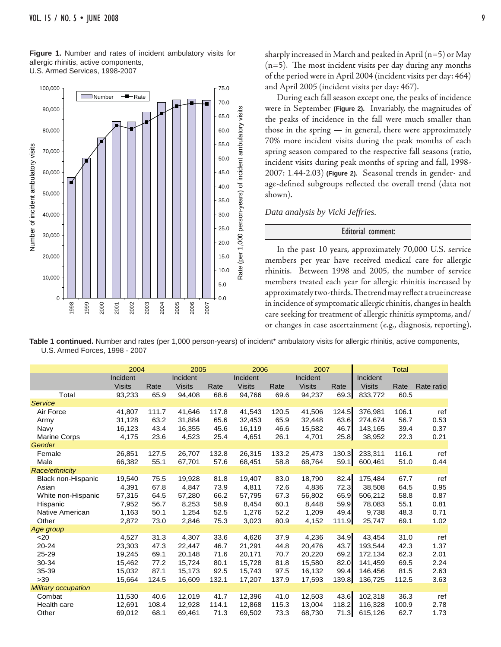**Figure 1.** Number and rates of incident ambulatory visits for allergic rhinitis, active components, U.S. Armed Services, 1998-2007



sharply increased in March and peaked in April  $(n=5)$  or May  $(n=5)$ . The most incident visits per day during any months of the period were in April 2004 (incident visits per day: 464) and April 2005 (incident visits per day: 467).

 During each fall season except one, the peaks of incidence were in September **(Figure 2).** Invariably, the magnitudes of the peaks of incidence in the fall were much smaller than those in the spring — in general, there were approximately 70% more incident visits during the peak months of each spring season compared to the respective fall seasons (ratio, incident visits during peak months of spring and fall, 1998- 2007: 1.44-2.03) **(Figure 2).** Seasonal trends in gender- and age-defined subgroups reflected the overall trend (data not shown).

*Data analysis by Vicki Jeffries.*

#### Editorial comment:

 In the past 10 years, approximately 70,000 U.S. service members per year have received medical care for allergic rhinitis. Between 1998 and 2005, the number of service members treated each year for allergic rhinitis increased by approximately two-thirds. The trend may reflect a true increase in incidence of symptomatic allergic rhinitis, changes in health care seeking for treatment of allergic rhinitis symptoms, and/ or changes in case ascertainment (e.g., diagnosis, reporting).

Table 1 continued. Number and rates (per 1,000 person-years) of incident<sup>\*</sup> ambulatory visits for allergic rhinitis, active components, U.S. Armed Forces, 1998 - 2007

|                            |               | 2004  |               | 2005  | 2006          |       | 2007          |       | <b>Total</b>  |       |            |  |
|----------------------------|---------------|-------|---------------|-------|---------------|-------|---------------|-------|---------------|-------|------------|--|
|                            | Incident      |       | Incident      |       | Incident      |       | Incident      |       | Incident      |       |            |  |
|                            | <b>Visits</b> | Rate  | <b>Visits</b> | Rate  | <b>Visits</b> | Rate  | <b>Visits</b> | Rate  | <b>Visits</b> | Rate  | Rate ratio |  |
| Total                      | 93,233        | 65.9  | 94,408        | 68.6  | 94,766        | 69.6  | 94,237        | 69.3  | 833,772       | 60.5  |            |  |
| <b>Service</b>             |               |       |               |       |               |       |               |       |               |       |            |  |
| Air Force                  | 41,807        | 111.7 | 41,646        | 117.8 | 41,543        | 120.5 | 41,506        | 124.5 | 376,981       | 106.1 | ref        |  |
| Army                       | 31,128        | 63.2  | 31,884        | 65.6  | 32,453        | 65.9  | 32,448        | 63.6  | 274,674       | 56.7  | 0.53       |  |
| Navy                       | 16,123        | 43.4  | 16,355        | 45.6  | 16,119        | 46.6  | 15,582        | 46.7  | 143,165       | 39.4  | 0.37       |  |
| <b>Marine Corps</b>        | 4,175         | 23.6  | 4,523         | 25.4  | 4,651         | 26.1  | 4,701         | 25.8  | 38,952        | 22.3  | 0.21       |  |
| Gender                     |               |       |               |       |               |       |               |       |               |       |            |  |
| Female                     | 26,851        | 127.5 | 26,707        | 132.8 | 26,315        | 133.2 | 25,473        | 130.3 | 233,311       | 116.1 | ref        |  |
| Male                       | 66,382        | 55.1  | 67,701        | 57.6  | 68,451        | 58.8  | 68,764        | 59.1  | 600,461       | 51.0  | 0.44       |  |
| Race/ethnicity             |               |       |               |       |               |       |               |       |               |       |            |  |
| Black non-Hispanic         | 19,540        | 75.5  | 19,928        | 81.8  | 19,407        | 83.0  | 18,790        | 82.4  | 175,484       | 67.7  | ref        |  |
| Asian                      | 4,391         | 67.8  | 4,847         | 73.9  | 4,811         | 72.6  | 4,836         | 72.3  | 38,508        | 64.5  | 0.95       |  |
| White non-Hispanic         | 57,315        | 64.5  | 57,280        | 66.2  | 57,795        | 67.3  | 56,802        | 65.9  | 506,212       | 58.8  | 0.87       |  |
| Hispanic                   | 7,952         | 56.7  | 8,253         | 58.9  | 8,454         | 60.1  | 8,448         | 59.9  | 78,083        | 55.1  | 0.81       |  |
| Native American            | 1,163         | 50.1  | 1,254         | 52.5  | 1,276         | 52.2  | 1,209         | 49.4  | 9,738         | 48.3  | 0.71       |  |
| Other                      | 2,872         | 73.0  | 2,846         | 75.3  | 3,023         | 80.9  | 4,152         | 111.9 | 25,747        | 69.1  | 1.02       |  |
| Age group                  |               |       |               |       |               |       |               |       |               |       |            |  |
| $20$                       | 4,527         | 31.3  | 4,307         | 33.6  | 4,626         | 37.9  | 4,236         | 34.9  | 43,454        | 31.0  | ref        |  |
| $20 - 24$                  | 23,303        | 47.3  | 22,447        | 46.7  | 21,291        | 44.8  | 20,476        | 43.7  | 193,544       | 42.3  | 1.37       |  |
| 25-29                      | 19,245        | 69.1  | 20,148        | 71.6  | 20,171        | 70.7  | 20,220        | 69.2  | 172,134       | 62.3  | 2.01       |  |
| 30-34                      | 15,462        | 77.2  | 15,724        | 80.1  | 15,728        | 81.8  | 15,580        | 82.0  | 141,459       | 69.5  | 2.24       |  |
| 35-39                      | 15,032        | 87.1  | 15,173        | 92.5  | 15,743        | 97.5  | 16,132        | 99.4  | 146,456       | 81.5  | 2.63       |  |
| $>39$                      | 15,664        | 124.5 | 16,609        | 132.1 | 17,207        | 137.9 | 17,593        | 139.8 | 136,725       | 112.5 | 3.63       |  |
| <b>Military occupation</b> |               |       |               |       |               |       |               |       |               |       |            |  |
| Combat                     | 11,530        | 40.6  | 12,019        | 41.7  | 12,396        | 41.0  | 12,503        | 43.6  | 102,318       | 36.3  | ref        |  |
| Health care                | 12,691        | 108.4 | 12,928        | 114.1 | 12,868        | 115.3 | 13,004        | 118.2 | 116,328       | 100.9 | 2.78       |  |
| Other                      | 69,012        | 68.1  | 69,461        | 71.3  | 69,502        | 73.3  | 68,730        | 71.3  | 615,126       | 62.7  | 1.73       |  |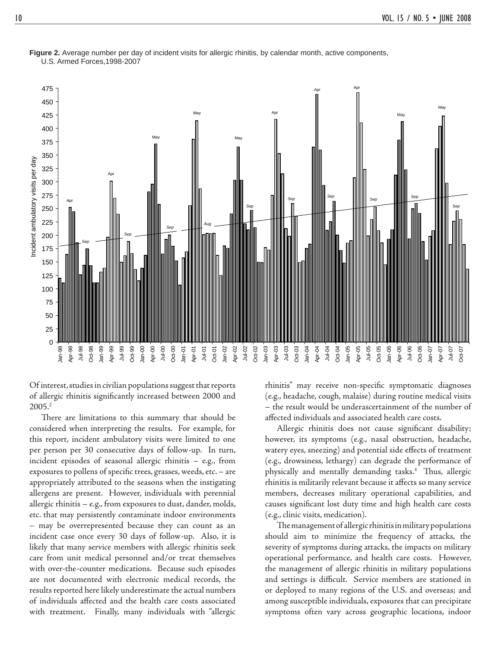

**Figure 2.** Average number per day of incident visits for allergic rhinitis, by calendar month, active components, U.S. Armed Forces,1998-2007

Of interest, studies in civilian populations suggest that reports of allergic rhinitis significantly increased between 2000 and 2005.2

There are limitations to this summary that should be considered when interpreting the results. For example, for this report, incident ambulatory visits were limited to one per person per 30 consecutive days of follow-up. In turn, incident episodes of seasonal allergic rhinitis – e.g., from exposures to pollens of specific trees, grasses, weeds, etc. - are appropriately attributed to the seasons when the instigating allergens are present. However, individuals with perennial allergic rhinitis – e.g., from exposures to dust, dander, molds, etc. that may persistently contaminate indoor environments – may be overrepresented because they can count as an incident case once every 30 days of follow-up. Also, it is likely that many service members with allergic rhinitis seek care from unit medical personnel and/or treat themselves with over-the-counter medications. Because such episodes are not documented with electronic medical records, the results reported here likely underestimate the actual numbers of individuals affected and the health care costs associated with treatment. Finally, many individuals with "allergic

rhinitis" may receive non-specific symptomatic diagnoses (e.g., headache, cough, malaise) during routine medical visits – the result would be underascertainment of the number of affected individuals and associated health care costs.

Allergic rhinitis does not cause significant disability; however, its symptoms (e.g., nasal obstruction, headache, watery eyes, sneezing) and potential side effects of treatment (e.g., drowsiness, lethargy) can degrade the performance of physically and mentally demanding tasks.<sup>4</sup> Thus, allergic rhinitis is militarily relevant because it affects so many service members, decreases military operational capabilities, and causes significant lost duty time and high health care costs (e.g., clinic visits, medication).

The management of allergic rhinitis in military populations should aim to minimize the frequency of attacks, the severity of symptoms during attacks, the impacts on military operational performance, and health care costs. However, the management of allergic rhinitis in military populations and settings is difficult. Service members are stationed in or deployed to many regions of the U.S. and overseas; and among susceptible individuals, exposures that can precipitate symptoms often vary across geographic locations, indoor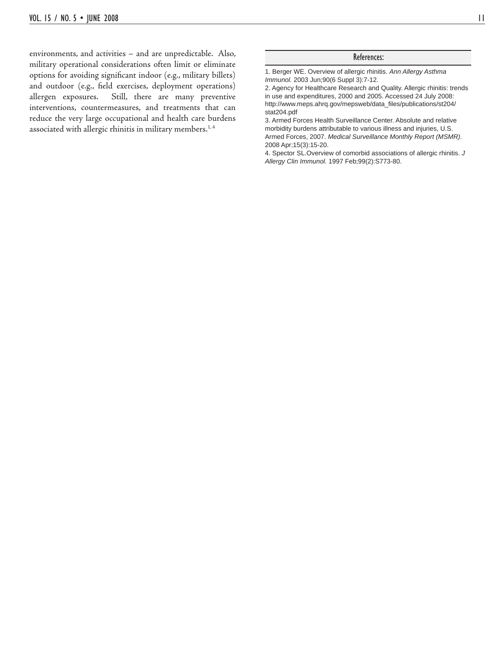environments, and activities – and are unpredictable. Also, military operational considerations often limit or eliminate options for avoiding significant indoor (e.g., military billets) and outdoor (e.g., field exercises, deployment operations) allergen exposures. Still, there are many preventive interventions, countermeasures, and treatments that can reduce the very large occupational and health care burdens associated with allergic rhinitis in military members.<sup>1,4</sup>

#### References:

1. Berger WE. Overview of allergic rhinitis. *Ann Allergy Asthma Immunol.* 2003 Jun;90(6 Suppl 3):7-12.

2. Agency for Healthcare Research and Quality. Allergic rhinitis: trends in use and expenditures, 2000 and 2005. Accessed 24 July 2008: http://www.meps.ahrq.gov/mepsweb/data\_files/publications/st204/ stat204.pdf

3. Armed Forces Health Surveillance Center. Absolute and relative morbidity burdens attributable to various illness and injuries, U.S. Armed Forces, 2007. *Medical Surveillance Monthly Report (MSMR).*  2008 Apr;15(3):15-20.

4. Spector SL.Overview of comorbid associations of allergic rhinitis. *J Allergy Clin Immunol.* 1997 Feb;99(2):S773-80.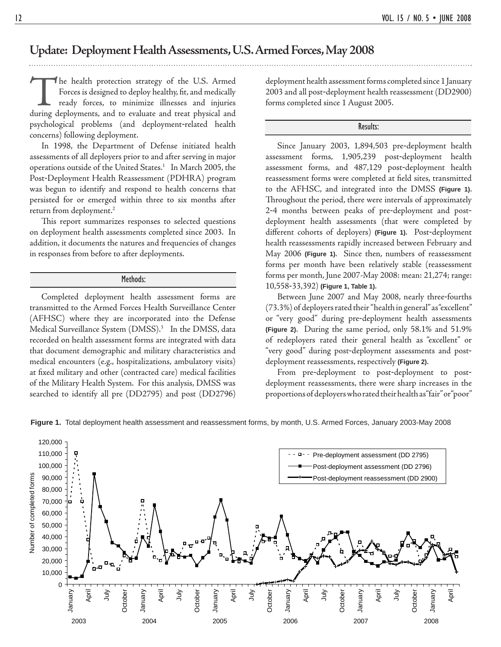### **Update: Deployment Health Assessments, U.S. Armed Forces, May 2008**

The health protection strategy of the U.S. Armed<br>Forces is designed to deploy healthy, fit, and medically<br>ready forces, to minimize illnesses and injuries<br>during deployments, and to evaluate and treat physical and Forces is designed to deploy healthy, fit, and medically ready forces, to minimize illnesses and injuries during deployments, and to evaluate and treat physical and psychological problems (and deployment-related health concerns) following deployment.

 In 1998, the Department of Defense initiated health assessments of all deployers prior to and after serving in major operations outside of the United States.<sup>1</sup> In March 2005, the Post-Deployment Health Reassessment (PDHRA) program was begun to identify and respond to health concerns that persisted for or emerged within three to six months after return from deployment.2

This report summarizes responses to selected questions on deployment health assessments completed since 2003. In addition, it documents the natures and frequencies of changes in responses from before to after deployments.

#### Methods:

 Completed deployment health assessment forms are transmitted to the Armed Forces Health Surveillance Center (AFHSC) where they are incorporated into the Defense Medical Surveillance System (DMSS).3 In the DMSS, data recorded on health assessment forms are integrated with data that document demographic and military characteristics and medical encounters (e.g., hospitalizations, ambulatory visits) at fixed military and other (contracted care) medical facilities of the Military Health System. For this analysis, DMSS was searched to identify all pre (DD2795) and post (DD2796)

deployment health assessment forms completed since 1 January 2003 and all post-deployment health reassessment (DD2900) forms completed since 1 August 2005.

#### Results:

 Since January 2003, 1,894,503 pre-deployment health assessment forms, 1,905,239 post-deployment health assessment forms, and 487,129 post-deployment health reassessment forms were completed at field sites, transmitted to the AFHSC, and integrated into the DMSS **(Figure 1)**. Throughout the period, there were intervals of approximately 2-4 months between peaks of pre-deployment and postdeployment health assessments (that were completed by different cohorts of deployers) (Figure 1). Post-deployment health reassessments rapidly increased between February and May 2006 **(Figure 1)**. Since then, numbers of reassessment forms per month have been relatively stable (reassessment forms per month, June 2007-May 2008: mean: 21,274; range: 10,558-33,392) **(Figure 1, Table 1)**.

 Between June 2007 and May 2008, nearly three-fourths (73.3%) of deployers rated their "health in general" as "excellent" or "very good" during pre-deployment health assessments **(Figure 2)**. During the same period, only 58.1% and 51.9% of redeployers rated their general health as "excellent" or "very good" during post-deployment assessments and postdeployment reassessments, respectively **(Figure 2)**.

 From pre-deployment to post-deployment to postdeployment reassessments, there were sharp increases in the proportions of deployers who rated their health as "fair" or "poor"



**Figure 1.** Total deployment health assessment and reassessment forms, by month, U.S. Armed Forces, January 2003-May 2008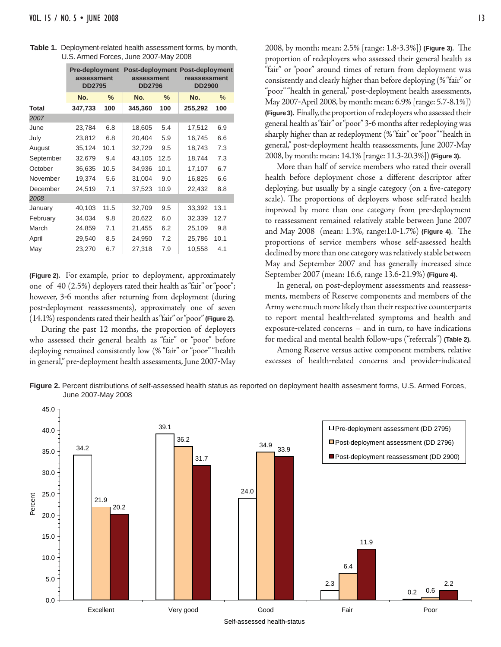|              | <b>Pre-deployment</b><br>assessment<br><b>DD2795</b> |               | assessment<br><b>DD2796</b> |      | <b>Post-deployment Post-deployment</b><br>reassessment<br><b>DD2900</b> |      |
|--------------|------------------------------------------------------|---------------|-----------------------------|------|-------------------------------------------------------------------------|------|
|              | No.                                                  | $\frac{9}{6}$ | No.                         | $\%$ | No.                                                                     | $\%$ |
| <b>Total</b> | 347,733                                              | 100           | 345,360                     | 100  | 255,292                                                                 | 100  |
| 2007         |                                                      |               |                             |      |                                                                         |      |
| June         | 23,784                                               | 6.8           | 18,605                      | 5.4  | 17,512                                                                  | 6.9  |
| July         | 23,812                                               | 6.8           | 20,404                      | 5.9  | 16,745                                                                  | 6.6  |
| August       | 35,124<br>10.1<br>32,679<br>9.4                      |               | 32,729                      | 9.5  | 18,743                                                                  | 7.3  |
| September    |                                                      |               | 43,105                      | 12.5 | 18,744                                                                  | 7.3  |
| October      | 36,635                                               | 10.5          | 34,936                      | 10.1 | 17,107                                                                  | 6.7  |
| November     | 19,374                                               | 5.6           | 31,004                      | 9.0  | 16,825                                                                  | 6.6  |
| December     | 24,519                                               | 7.1           | 37,523                      | 10.9 | 22,432                                                                  | 8.8  |
| 2008         |                                                      |               |                             |      |                                                                         |      |
| January      | 40,103                                               | 11.5          | 32,709                      | 9.5  | 33,392                                                                  | 13.1 |
| February     | 34,034                                               | 9.8           | 20,622                      | 6.0  | 32,339                                                                  | 12.7 |
| March        | 24,859                                               | 7.1           | 21,455                      | 6.2  | 25,109                                                                  | 9.8  |
| April        | 29,540                                               | 8.5           | 24,950                      | 7.2  | 25,786                                                                  | 10.1 |
| May          | 23,270                                               | 6.7           | 27,318                      | 7.9  | 10,558                                                                  | 4.1  |

| <b>Table 1.</b> Deployment-related health assessment forms, by month, |
|-----------------------------------------------------------------------|
| U.S. Armed Forces, June 2007-May 2008                                 |

**(Figure 2)**. For example, prior to deployment, approximately one of 40 (2.5%) deployers rated their health as "fair" or "poor"; however, 3-6 months after returning from deployment (during post-deployment reassessments), approximately one of seven (14.1%) respondents rated their health as "fair" or "poor" **(Figure 2)**.

 During the past 12 months, the proportion of deployers who assessed their general health as "fair" or "poor" before deploying remained consistently low (% "fair" or "poor" "health in general," pre-deployment health assessments, June 2007-May

2008, by month: mean: 2.5% [range: 1.8-3.3%]) **(Figure 3)**. The proportion of redeployers who assessed their general health as "fair" or "poor" around times of return from deployment was consistently and clearly higher than before deploying (% "fair" or "poor" "health in general," post-deployment health assessments, May 2007-April 2008, by month: mean: 6.9% [range: 5.7-8.1%]) **(Figure 3)**. Finally, the proportion of redeployers who assessed their general health as "fair" or "poor" 3-6 months after redeploying was sharply higher than at redeployment (% "fair" or "poor" "health in general," post-deployment health reassessments, June 2007-May 2008, by month: mean: 14.1% [range: 11.3-20.3%]) **(Figure 3)**.

 More than half of service members who rated their overall health before deployment chose a different descriptor after deploying, but usually by a single category (on a five-category scale). The proportions of deployers whose self-rated health improved by more than one category from pre-deployment to reassessment remained relatively stable between June 2007 and May 2008 (mean: 1.3%, range: 1.0-1.7%) **(Figure 4)**. The proportions of service members whose self-assessed health declined by more than one category was relatively stable between May and September 2007 and has generally increased since September 2007 (mean: 16.6, range 13.6-21.9%) **(Figure 4)**.

 In general, on post-deployment assessments and reassessments, members of Reserve components and members of the Army were much more likely than their respective counterparts to report mental health-related symptoms and health and exposure-related concerns – and in turn, to have indications for medical and mental health follow-ups ("referrals") **(Table 2).**

 Among Reserve versus active component members, relative excesses of health-related concerns and provider-indicated



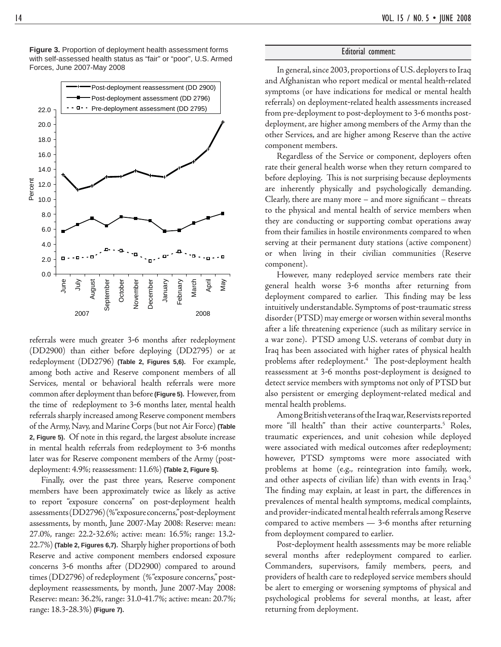Post-deployment reassessment (DD 2900) Post-deployment assessment (DD 2796) 22.0 Pre-deployment assessment (DD 2795) 20.0 18.0 16.0 14.0 Percent 12.0 10.0 8.0 6.0 4.0 2.0 0.0 June August September October October November December February April  $\breve{\exists}$ Jecember January February March May Septembe Vovembe 2007 2008

**Figure 3.** Proportion of deployment health assessment forms with self-assessed health status as "fair" or "poor", U.S. Armed

referrals were much greater 3-6 months after redeployment (DD2900) than either before deploying (DD2795) or at redeployment (DD2796) **(Table 2, Figures 5,6)**. For example, among both active and Reserve component members of all Services, mental or behavioral health referrals were more common after deployment than before **(Figure 5)**. However, from the time of redeployment to 3-6 months later, mental health referrals sharply increased among Reserve component members of the Army, Navy, and Marine Corps (but not Air Force) **(Table 2, Figure 5)**. Of note in this regard, the largest absolute increase in mental health referrals from redeployment to 3-6 months later was for Reserve component members of the Army (postdeployment: 4.9%; reassessment: 11.6%) **(Table 2, Figure 5)**.

 Finally, over the past three years, Reserve component members have been approximately twice as likely as active to report "exposure concerns" on post-deployment health assessments (DD2796) (% "exposure concerns," post-deployment assessments, by month, June 2007-May 2008: Reserve: mean: 27.0%, range: 22.2-32.6%; active: mean: 16.5%; range: 13.2- 22.7%) **(Table 2, Figures 6,7)**. Sharply higher proportions of both Reserve and active component members endorsed exposure concerns 3-6 months after (DD2900) compared to around times (DD2796) of redeployment (% "exposure concerns," postdeployment reassessments, by month, June 2007-May 2008: Reserve: mean: 36.2%, range: 31.0-41.7%; active: mean: 20.7%; range: 18.3-28.3%) **(Figure 7)**.

#### Editorial comment:

Forces, June 2007-May 2008 **In general, since 2003, proportions of U.S.** deployers to Iraq and Afghanistan who report medical or mental health-related symptoms (or have indications for medical or mental health referrals) on deployment-related health assessments increased from pre-deployment to post-deployment to 3-6 months postdeployment, are higher among members of the Army than the other Services, and are higher among Reserve than the active component members.

> Regardless of the Service or component, deployers often rate their general health worse when they return compared to before deploying. This is not surprising because deployments are inherently physically and psychologically demanding. Clearly, there are many more  $-$  and more significant  $-$  threats to the physical and mental health of service members when they are conducting or supporting combat operations away from their families in hostile environments compared to when serving at their permanent duty stations (active component) or when living in their civilian communities (Reserve component).

> However, many redeployed service members rate their general health worse 3-6 months after returning from deployment compared to earlier. This finding may be less intuitively understandable. Symptoms of post-traumatic stress disorder (PTSD) may emerge or worsen within several months after a life threatening experience (such as military service in a war zone). PTSD among U.S. veterans of combat duty in Iraq has been associated with higher rates of physical health problems after redeployment.<sup>4</sup> The post-deployment health reassessment at 3-6 months post-deployment is designed to detect service members with symptoms not only of PTSD but also persistent or emerging deployment-related medical and mental health problems.

> Among British veterans of the Iraq war, Reservists reported more "ill health" than their active counterparts.5 Roles, traumatic experiences, and unit cohesion while deployed were associated with medical outcomes after redeployment; however, PTSD symptoms were more associated with problems at home (e.g., reintegration into family, work, and other aspects of civilian life) than with events in Iraq.<sup>5</sup> The finding may explain, at least in part, the differences in prevalences of mental health symptoms, medical complaints, and provider-indicated mental health referrals among Reserve compared to active members — 3-6 months after returning from deployment compared to earlier.

> Post-deployment health assessments may be more reliable several months after redeployment compared to earlier. Commanders, supervisors, family members, peers, and providers of health care to redeployed service members should be alert to emerging or worsening symptoms of physical and psychological problems for several months, at least, after returning from deployment.

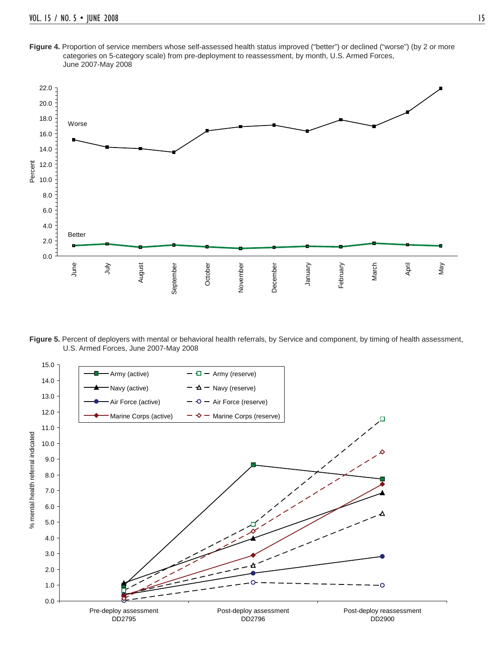Figure 4. Proportion of service members whose self-assessed health status improved ("better") or declined ("worse") (by 2 or more categories on 5-category scale) from pre-deployment to reassessment, by month, U.S. Armed Forces, June 2007-May 2008



Figure 5. Percent of deployers with mental or behavioral health referrals, by Service and component, by timing of health assessment, U.S. Armed Forces, June 2007-May 2008

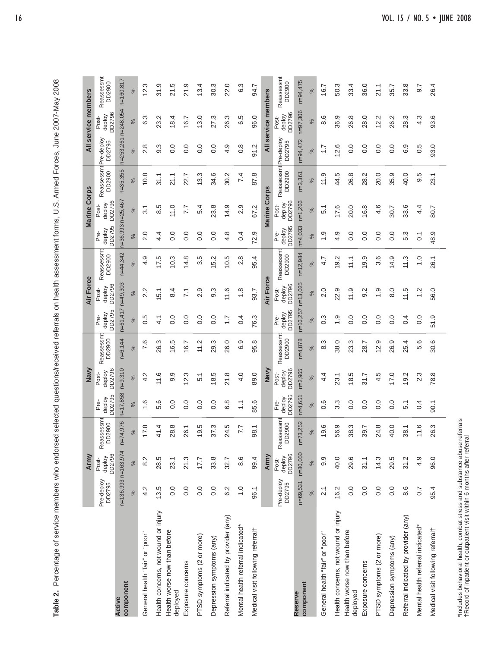| )<br> <br>                                                                              |
|-----------------------------------------------------------------------------------------|
| l                                                                                       |
|                                                                                         |
| $\frac{1}{3}$                                                                           |
| )<br>)<br>)                                                                             |
| į                                                                                       |
| i<br>í                                                                                  |
| l<br>l<br>֬֕֕                                                                           |
|                                                                                         |
| $rac{c}{1}$                                                                             |
|                                                                                         |
|                                                                                         |
|                                                                                         |
| :<br>גוא הא ה                                                                           |
| l                                                                                       |
| ֪ׅ֪ׅ֪ׅ֪ׅ֪ׅ֧֧֧֪֪֦֧֪ׅ֪֧֪֪ׅ֖֧֧֧֚֚֚֚֚֚֚֚֚֚֚֚֚֚֚֚֡֕֕֓֡֝֓֬֓֓֡֬֝֬֓֞֓֝֓֝֬֝֓֞֓֓֝֬֓֓֞֬֝֓֝֬֓֝֬֝֬֝֬ |
| י<br>בוב                                                                                |
|                                                                                         |
|                                                                                         |
|                                                                                         |
|                                                                                         |
| $\ddot{\bm{\zeta}}$                                                                     |
| l                                                                                       |
| ï                                                                                       |
|                                                                                         |
| j                                                                                       |
|                                                                                         |
| Ì<br>ׇ֓֕֡                                                                               |
| ţ<br>I                                                                                  |
| ز<br>5<br>İ<br>Ï<br>;<br>;                                                              |
| ł                                                                                       |
| hrsar                                                                                   |
| ׇ֓֕֡<br>Ì                                                                               |
|                                                                                         |
|                                                                                         |
| Ì                                                                                       |
| Ş<br>$\overline{\phantom{a}}$                                                           |
| Ş<br>¢<br>í<br>1                                                                        |
| ì<br>ţ                                                                                  |
| à<br>ï                                                                                  |
| I<br>i                                                                                  |
| ١<br>l<br>Í<br>ı                                                                        |
| Ì<br>l<br>ì<br>l                                                                        |
| ă<br>١<br>l                                                                             |
| ole 2.                                                                                  |
|                                                                                         |

|                                                                                                                                              |                      | Army                      |                               |                             | Navy                      |                      |                               | Air Force                 |                      |                            | <b>Marine Corps</b>       |                                       |                       | All service members       |                      |
|----------------------------------------------------------------------------------------------------------------------------------------------|----------------------|---------------------------|-------------------------------|-----------------------------|---------------------------|----------------------|-------------------------------|---------------------------|----------------------|----------------------------|---------------------------|---------------------------------------|-----------------------|---------------------------|----------------------|
|                                                                                                                                              | Pre-deploy<br>DD2795 | deploy<br>DD2796<br>Post- | Reassessmt<br>DD2900<br>Rea   | deploy<br>DD2795<br>ம்<br>உ | deploy<br>DD2796<br>Post- | Reassessm<br>DD2900  | deploy<br>DD2795<br>ف<br>م    | DD2796<br>deploy<br>Post- | Reassessmt<br>DD2900 | deploy<br>DD2795<br>ف<br>م | deploy<br>DD2796<br>Post- | ReassessmtPre-deploy<br>DD2900 DD2795 |                       | DD2796<br>deploy<br>Post- | Reassessmt<br>DD2900 |
| component<br>Active                                                                                                                          | n=136,993 n=163,974  |                           | $n=74,976$                    | $n = 17,858$                | $n=9,310$                 | $n=6,144$            | n=61,417 n=49,303             |                           | n=44,342             | n=36,993 n=25,467          |                           | $n = 35, 355$                         | n=253,261 n=248,054   |                           | $n = 160, 81$        |
|                                                                                                                                              | $\%$                 | $\%$                      | $\%$                          | $\%$                        | $\%$                      | $\%$                 | $\%$                          | $\%$                      | $\%$                 | $\%$                       | $\%$                      | ಸ                                     | ಸ                     | ಸ                         | $\%$                 |
| General health "fair" or "poor"                                                                                                              | 4.2                  | 8.2                       | 17.8                          | 1.6                         | 4.2                       | 7.6                  | 0.5                           | 2.2                       | 4.9                  | 2.0                        | $\overline{3.1}$          | 10.8                                  | $\infty$<br>$\sim$    | 6.3                       | 12.3                 |
| Health concerns, not wound or injury                                                                                                         | 13.5                 | 28.5                      | 41.4                          | 5.6                         | 11.6                      | 26.3                 | $\overline{4}$ .              | 51                        | 17.5                 | 4.4                        | 8.5                       | 31.1                                  | က္<br>တ               | 23.2                      | 31.9                 |
| Health worse now than before<br>deployed                                                                                                     | 0.0                  | 23.1                      | 28.8                          | 0.0                         | 9.9                       | 16.5                 | 0.0                           | 8.4                       | $0.\overline{3}$     | 0.0                        | 11.0                      | 21.1                                  | Q<br>ö                | 18.4                      | 21.5                 |
| Exposure concerns                                                                                                                            | 0.0                  | 21.3                      | 26.1                          | 0.0                         | 12.3                      | 16.7                 | 0.0                           | $\overline{71}$           | 14.8                 | $\overline{0}$ .           | 7.7                       | 22.7                                  | 0.0                   | 16.7                      | 21.9                 |
| PTSD symptoms (2 or more)                                                                                                                    | 0.0                  | 17.7                      | 9.5                           | 0.0                         | 5.1                       | 11.2                 | 0.0                           | 2.9                       | 3.5                  | $\overline{0}$ .           | 5.4                       | 13.3                                  | $\overline{0}$ .      | 13.0                      | 13.4                 |
| Depression symptoms (any)                                                                                                                    | 0.0                  | 33.8                      | 37.3                          | 0.0                         | 18.5                      | 29.3                 | $\overline{0}$ .              | $9.\overline{3}$          | 5.2                  | $\overline{0}$ .           | 23.8                      | 34.6                                  | 0.0                   | 27.3                      | 30.3                 |
| Referral indicated by provider (any)                                                                                                         | 6.2                  | 32.7                      | 24.5                          | 6.8                         | 21.8                      | 26.0                 | $\overline{1}$ .              | 11.6                      | 10.5                 | 4.8                        | 14.9                      | 30.2                                  | 4.9                   | 26.3                      | 22.0                 |
| Mental health referral indicated*                                                                                                            | $\frac{0}{1}$        | 8.6                       | 7.7                           | $\overline{\cdot}$          | 4.0                       | 6.9                  | 0.4                           | 1.8                       | 2.8                  | 0.4                        | 2.9                       | 7.4                                   | $0.\overline{8}$      | 6.5                       | 6.3                  |
| Medical visit following referral <sup>+</sup>                                                                                                | 96.1                 | 99.4                      | 98.1                          | 85.6                        | 89.0                      | 95.8                 | 76.3                          | 93.7                      | 95.4                 | 72.9                       | 67.2                      | 87.8                                  | 91.2                  | 96.0                      | 94.7                 |
|                                                                                                                                              |                      | Army                      |                               |                             | Navy                      |                      |                               | Air Force                 |                      |                            | <b>Marine Corps</b>       |                                       |                       | All service members       |                      |
|                                                                                                                                              | Pre-deploy<br>DD2795 | DD2796<br>deploy<br>Post- | assessmt<br>D2900<br>Rea<br>ᅙ | DD2795<br>deploy<br>Pre-    | DD2796<br>deploy<br>Post- | Reassessmt<br>DD2900 | DD2795<br>deploy<br><u>ம்</u> | deploy<br>DD2796<br>Post- | Reassessmt<br>DD2900 | DD2795<br>deploy<br>Pre-   | DD2796<br>deploy<br>Post- | Reassessmt<br>DD2900                  | tPre-deploy<br>DD2795 | DD2796<br>deploy<br>Post- | Reassessmt<br>DD2900 |
| component<br>Reserve                                                                                                                         | $n = 69,531$         | n=80,050                  | 73,252<br>$\frac{1}{2}$       | $n=4,65'$                   | $n=2,965$                 | $n=4,878$            | $n = 16,257$                  | $n = 13,025$              | $n = 12,984$         | $n=4,033$                  | $n = 1,266$               | $n=3,361$                             | n=94,472              | $n = 97,306$              | n=94,475             |
|                                                                                                                                              | $\%$                 | $\%$                      | $\%$                          | $\%$                        | $\%$                      | $\%$                 | $\%$                          | $\%$                      | $\%$                 | $\%$                       | $\%$                      | $\%$                                  | $\%$                  | $\%$                      | ಸ                    |
| General health "fair" or "poor"                                                                                                              | $\overline{2.1}$     | 9.9                       | 19.6                          | 0.6                         | 4.4                       | 8.3                  | $0.\overline{3}$              | 2.0                       | 4.7                  | $\ddot{ }$ .               | 5.1                       | 11.9                                  | $\overline{1}$ :      | 8.6                       | 16.7                 |
| Health concerns, not wound or injury                                                                                                         | 16.2                 | 40.0                      | 56.9                          | $3.\overline{3}$            | 23.1                      | 38.0                 | $\frac{0}{1}$                 | 22.9                      | 9.2                  | 4.9                        | 17.6                      | 44.5                                  | 2.6                   | 36.9                      | 50.3                 |
| Health worse now than before<br>deployed                                                                                                     | 0.0                  | 29.6                      | 38.3                          | 0.0                         | 18.5                      | 23.3                 | 0.0                           | 11.9                      | 11.1                 | 0.0                        | 20.0                      | 26.8                                  | 0.0                   | 26.8                      | 33.4                 |
| Exposure concerns                                                                                                                            | 0.0                  | 31.1                      | 39.7                          | $\overline{0}$ .            | 31.7                      | 28.7                 | 0.0                           | 9.2                       | 9.9                  | $\overline{0}$ .           | 16.8                      | 28.2                                  | 0.0                   | 28.0                      | 36.0                 |
| PTSD symptoms (2 or more)                                                                                                                    | $\overline{0}$ .     | 14.3                      | 24.8                          | $\overline{0}$ .            | 4.5                       | 12.9                 | 0.0                           | $\frac{0}{1}$             | $3.\overline{6}$     | $\overline{0}$ .           | 4.6                       | 20.0                                  | Q<br>ö                | 12.2                      | 21.1                 |
| Depression symptoms (any)                                                                                                                    | 0.0                  | 29.5                      | 40.0                          | $\overline{0}$ .            | 17.0                      | 26.9                 | 0.0                           | 8.0                       | 14.9                 | $\overline{0}$ .           | 30.7                      | 35.9                                  | 0.0                   | 26.2                      | 35.7                 |
| Referral indicated by provider (any)                                                                                                         | 8.6                  | 31.2                      | 38.1                          | 5.1                         | 9.2                       | 25.4                 | 0.4                           | 11.5                      | 11.3                 | 5.3                        | 33.6                      | 40.0                                  | ၜ<br>.<br>ت           | 28.3                      | 33.8                 |
| Mental health referral indicated*                                                                                                            | 0.7                  | 4.9                       | 11.6                          | 0.4                         | 2.3                       | 5.6                  | 0.0                           | 12                        | $\frac{0}{1}$        | $\overline{0}$ .           | 4.4                       | 9.5                                   | 5<br>ö                | 4.3                       | 9.7                  |
| Medical visit following referral <sup>+</sup>                                                                                                | 95.4                 | 96.0                      | 26.3                          | 90.1                        | 78.8                      | 30.6                 | 51.9                          | 56.0                      | 26.1                 | 48.9                       | 80.7                      | 23.1                                  | 93.0                  | 93.6                      | 26.4                 |
| *Includes behavioral health, combat stress and substance abuse re<br>†Record of inpatient or outpatient visit within 6 months after referral |                      |                           | eferrals                      |                             |                           |                      |                               |                           |                      |                            |                           |                                       |                       |                           |                      |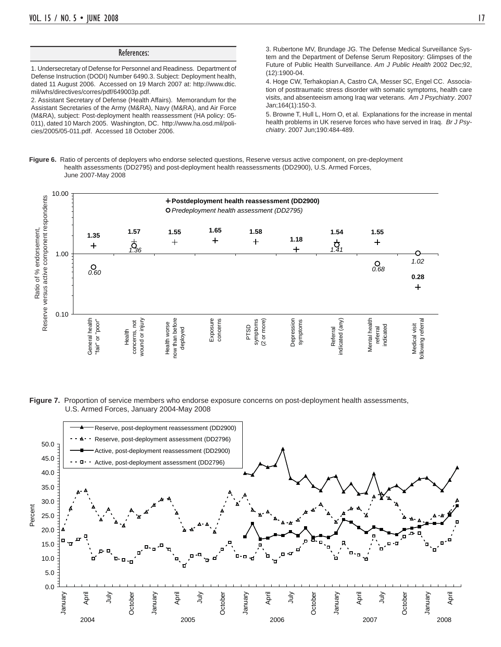1. Undersecretary of Defense for Personnel and Readiness. Department of Defense Instruction (DODI) Number 6490.3. Subject: Deployment health, dated 11 August 2006. Accessed on 19 March 2007 at: http://www.dtic. mil/whs/directives/corres/pdf/649003p.pdf.

References:

2. Assistant Secretary of Defense (Health Affairs). Memorandum for the Assistant Secretaries of the Army (M&RA), Navy (M&RA), and Air Force (M&RA), subject: Post-deployment health reassessment (HA policy: 05- 011), dated 10 March 2005. Washington, DC. http://www.ha.osd.mil/policies/2005/05-011.pdf. Accessed 18 October 2006.

3. Rubertone MV, Brundage JG. The Defense Medical Surveillance System and the Department of Defense Serum Repository: Glimpses of the Future of Public Health Surveillance. *Am J Public Health* 2002 Dec;92, (12):1900-04.

4. Hoge CW, Terhakopian A, Castro CA, Messer SC, Engel CC. Association of posttraumatic stress disorder with somatic symptoms, health care visits, and absenteeism among Iraq war veterans. *Am J Psychiatry*. 2007 Jan;164(1):150-3.

5. Browne T, Hull L, Horn O, et al. Explanations for the increase in mental health problems in UK reserve forces who have served in Iraq. *Br J Psychiatry*. 2007 Jun;190:484-489.

**Figure 6.** Ratio of percents of deployers who endorse selected questions, Reserve versus active component, on pre-deployment health assessments (DD2795) and post-deployment health reassessments (DD2900), U.S. Armed Forces, June 2007-May 2008



**Figure 7.** Proportion of service members who endorse exposure concerns on post-deployment health assessments, U.S. Armed Forces, January 2004-May 2008

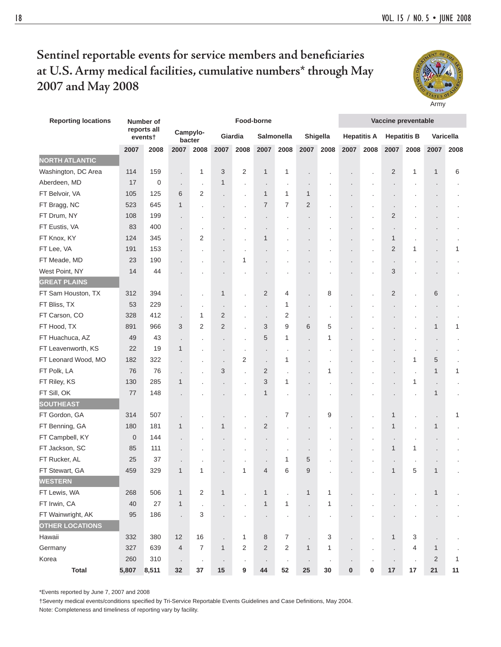Army

## Sentinel reportable events for service members and beneficiaries **at U.S. Army medical facilities, cumulative numbers\* through May 2007 and May 2008**

| <b>Reporting locations</b> | Number of        |                        |                      |                         |                          | Food-borne           | Vaccine preventable  |                |                      |                      |                      |                      |                    |                      |                |           |
|----------------------------|------------------|------------------------|----------------------|-------------------------|--------------------------|----------------------|----------------------|----------------|----------------------|----------------------|----------------------|----------------------|--------------------|----------------------|----------------|-----------|
|                            |                  | reports all<br>events† |                      | Campylo-<br>bacter      |                          | Giardia              |                      | Salmonella     |                      | Shigella             |                      | <b>Hepatitis A</b>   | <b>Hepatitis B</b> |                      |                | Varicella |
|                            | 2007             | 2008                   | 2007                 | 2008                    | 2007                     | 2008                 | 2007                 | 2008           | 2007                 | 2008                 | 2007                 | 2008                 | 2007               | 2008                 | 2007           | 2008      |
| <b>NORTH ATLANTIC</b>      |                  |                        |                      |                         |                          |                      |                      |                |                      |                      |                      |                      |                    |                      |                |           |
| Washington, DC Area        | 114              | 159                    | $\ddot{\phantom{0}}$ | 1                       | 3                        | 2                    | $\mathbf{1}$         | 1              | $\cdot$              |                      |                      | $\cdot$              | $\overline{2}$     | 1                    | $\mathbf{1}$   | 6         |
| Aberdeen, MD               | 17               | $\mathbf 0$            | $\ddot{\phantom{0}}$ | $\ddot{\phantom{a}}$    | $\mathbf{1}$             | $\cdot$              | $\cdot$              | $\cdot$        |                      |                      |                      |                      |                    |                      |                |           |
| FT Belvoir, VA             | 105              | 125                    | 6                    | 2                       | $\cdot$                  | $\cdot$              | $\mathbf{1}$         | 1              | $\mathbf{1}$         |                      |                      |                      |                    |                      |                |           |
| FT Bragg, NC               | 523              | 645                    | 1                    |                         | $\cdot$                  | $\cdot$              | $\overline{7}$       | $\overline{7}$ | 2                    |                      |                      | ×                    | $\cdot$            |                      |                |           |
| FT Drum, NY                | 108              | 199                    |                      | ٠                       |                          | $\cdot$              |                      | $\cdot$        | $\cdot$              | ٠                    |                      | $\cdot$              | $\overline{2}$     | $\cdot$              |                |           |
| FT Eustis, VA              | 83               | 400                    | $\ddot{\phantom{0}}$ | ÷,                      | $\ddot{\phantom{0}}$     | $\cdot$              | $\ddot{\phantom{0}}$ | ٠              |                      |                      |                      | $\cdot$              |                    | $\ddot{\phantom{a}}$ |                |           |
| FT Knox, KY                | 124              | 345                    |                      | $\overline{2}$          | $\ddot{\phantom{0}}$     | $\cdot$              | $\mathbf{1}$         |                | $\cdot$              |                      |                      | $\cdot$              | 1                  |                      |                |           |
| FT Lee, VA                 | 191              | 153                    | $\ddot{\phantom{0}}$ |                         | $\cdot$                  | $\cdot$              |                      |                |                      |                      |                      | ×                    | $\overline{2}$     | 1                    |                | 1         |
| FT Meade, MD               | 23               | 190                    |                      |                         | $\overline{\phantom{a}}$ | 1                    | $\ddot{\phantom{0}}$ | $\cdot$        |                      | $\cdot$              |                      | $\cdot$              | $\cdot$            |                      | $\cdot$        |           |
| West Point, NY             | 14               | 44                     |                      |                         |                          |                      |                      |                |                      |                      |                      |                      | 3                  |                      |                |           |
| <b>GREAT PLAINS</b>        |                  |                        |                      |                         |                          |                      |                      |                |                      |                      |                      |                      |                    |                      |                |           |
| FT Sam Houston, TX         | 312              | 394                    |                      |                         | 1                        | $\cdot$              | $\overline{2}$       | 4              |                      | 8                    |                      | $\cdot$              | $\overline{2}$     | $\ddot{\phantom{0}}$ | 6              |           |
| FT Bliss, TX               | 53               | 229                    |                      | l.                      | $\cdot$                  | $\cdot$              | $\ddot{\phantom{0}}$ | $\mathbf{1}$   |                      | $\cdot$              |                      |                      | $\cdot$            | $\cdot$              | ٠              |           |
| FT Carson, CO              | 328              | 412                    | $\ddot{\phantom{a}}$ | 1                       | $\overline{2}$           | $\ddot{\phantom{0}}$ | $\cdot$              | $\overline{2}$ |                      | $\cdot$              |                      |                      |                    |                      |                |           |
| FT Hood, TX                | 891              | 966                    | 3                    | $\overline{2}$          | $\overline{2}$           | $\ddot{\phantom{0}}$ | 3                    | 9              | 6                    | 5                    |                      |                      |                    |                      | 1              | 1         |
| FT Huachuca, AZ            | 49               | 43                     | $\ddot{\phantom{0}}$ |                         | $\overline{\phantom{a}}$ | $\ddot{\phantom{0}}$ | 5                    | 1              | $\ddot{\phantom{0}}$ | 1                    |                      |                      | $\cdot$            |                      |                |           |
| FT Leavenworth, KS         | 22               | 19                     | 1                    | J.                      | $\ddot{\phantom{0}}$     | $\cdot$              | $\cdot$              | $\cdot$        | $\ddot{\phantom{a}}$ | $\cdot$              |                      |                      | $\blacksquare$     | $\cdot$              |                |           |
| FT Leonard Wood, MO        | 182              | 322                    |                      | J.                      | $\ddot{\phantom{0}}$     | 2                    | $\ddot{\phantom{a}}$ | 1              |                      |                      |                      |                      | ÷,                 | 1                    | 5              |           |
| FT Polk, LA                | 76               | 76                     | $\ddot{\phantom{0}}$ | Ĭ.                      | 3                        | $\cdot$              | 2                    | $\cdot$        | $\ddot{\phantom{0}}$ | 1                    |                      | ٠                    | $\cdot$            | $\ddot{\phantom{a}}$ | $\mathbf{1}$   | 1         |
| FT Riley, KS               | 130              | 285                    | $\mathbf{1}$         |                         | $\cdot$                  | $\cdot$              | 3                    | 1              |                      | ٠                    |                      |                      |                    | 1                    |                |           |
| FT Sill, OK                | 77               | 148                    |                      |                         | $\ddot{\phantom{0}}$     | $\cdot$              | $\mathbf{1}$         | ٠              |                      |                      |                      |                      | $\blacksquare$     | $\overline{a}$       | 1              |           |
| <b>SOUTHEAST</b>           |                  |                        |                      |                         |                          |                      |                      |                |                      |                      |                      |                      |                    |                      |                |           |
| FT Gordon, GA              | 314              | 507                    |                      |                         | $\cdot$                  | $\cdot$              | $\ddot{\phantom{a}}$ | 7              |                      | 9                    | i.                   | $\cdot$              | 1                  | $\cdot$              | $\blacksquare$ | 1         |
| FT Benning, GA             | 180              | 181                    | 1                    | $\ddot{\phantom{a}}$    | $\mathbf{1}$             | $\ddot{\phantom{a}}$ | 2                    | $\blacksquare$ | $\cdot$              | $\cdot$              | ×.                   | $\cdot$              | $\mathbf{1}$       | $\cdot$              | 1              |           |
| FT Campbell, KY            | $\boldsymbol{0}$ | 144                    | $\cdot$              | $\ddot{\phantom{a}}$    | $\cdot$                  | $\cdot$              | $\ddot{\phantom{0}}$ | $\cdot$        |                      |                      |                      | $\cdot$              | $\cdot$            | $\cdot$              |                |           |
| FT Jackson, SC             | 85               | 111                    | $\ddot{\phantom{a}}$ |                         | $\cdot$                  | $\cdot$              | $\blacksquare$       | $\cdot$        | $\cdot$              | $\ddot{\phantom{a}}$ | $\ddot{\phantom{0}}$ | $\cdot$              | $\mathbf{1}$       | 1                    |                |           |
| FT Rucker, AL              | 25               | 37                     | $\ddot{\phantom{0}}$ | ×                       | $\blacksquare$           | $\cdot$              | $\blacksquare$       | 1              | 5                    |                      |                      | $\cdot$              | $\cdot$            | $\cdot$              |                |           |
| FT Stewart, GA             | 459              | 329                    | 1                    | 1                       | $\ddot{\phantom{0}}$     | $\mathbf{1}$         | $\overline{4}$       | 6              | 9                    |                      | ×.                   | $\ddot{\phantom{0}}$ | $\mathbf{1}$       | 5                    | 1              |           |
| WESTERN                    |                  |                        |                      |                         |                          |                      |                      |                |                      |                      |                      |                      |                    |                      |                |           |
| FT Lewis, WA               | 268              | 506                    | $\mathbf{1}$         | $\overline{\mathbf{c}}$ | $\mathbf{1}$             | $\ddot{\phantom{0}}$ | $\mathbf{1}$         | $\cdot$        | $\mathbf{1}$         | 1                    |                      |                      | $\cdot$            |                      | $\mathbf{1}$   |           |
| FT Irwin, CA               | 40               | 27                     | 1                    | ÷,                      | $\cdot$                  | $\cdot$              | $\mathbf{1}$         | $\mathbf{1}$   | $\ddot{\phantom{0}}$ | $\mathbf{1}$         |                      |                      | $\blacksquare$     |                      |                |           |
| FT Wainwright, AK          | 95               | 186                    | $\cdot$              | 3                       | $\cdot$                  | $\cdot$              | $\cdot$              | $\cdot$        | ×,                   | $\cdot$              |                      |                      | $\cdot$            | $\cdot$              | $\cdot$        |           |
| <b>OTHER LOCATIONS</b>     |                  |                        |                      |                         |                          |                      |                      |                |                      |                      |                      |                      |                    |                      |                |           |
| Hawaii                     | 332              | 380                    | 12                   | 16                      | $\cdot$                  | 1                    | 8                    | 7              | $\cdot$              | 3                    | ä,                   | $\cdot$              | $\mathbf{1}$       | 3                    | $\cdot$        |           |
| Germany                    | 327              | 639                    | $\overline{4}$       | $\overline{7}$          | $\mathbf{1}$             | $\overline{2}$       | $\overline{2}$       | $\sqrt{2}$     | $\mathbf{1}$         | $\mathbf{1}$         |                      | $\cdot$              | $\cdot$            | 4                    | 1              |           |
| Korea                      | 260              | 310                    | $\cdot$              | $\cdot$                 |                          | $\cdot$              |                      | $\cdot$        |                      | $\cdot$              |                      | $\cdot$              | $\cdot$            | $\cdot$              | 2              | 1         |
| <b>Total</b>               | 5,807            | 8,511                  | $32\,$               | $37\,$                  | 15                       | $\boldsymbol{9}$     | 44                   | 52             | 25                   | $30\,$               | $\pmb{0}$            | 0                    | $17$               | $17\,$               | $21$           | 11        |

\*Events reported by June 7, 2007 and 2008

†Seventy medical events/conditions specified by Tri-Service Reportable Events Guidelines and Case Definitions, May 2004. Note: Completeness and timeliness of reporting vary by facility.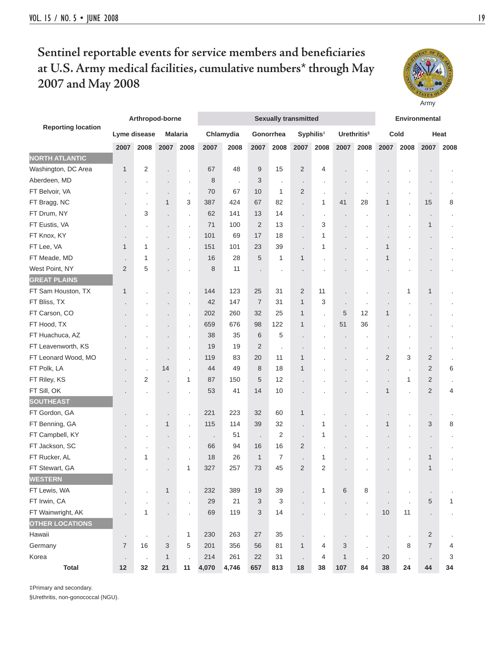### **Sentinel reportable events for service members and beneficiaries at U.S. Army medical facilities, cumulative numbers\* through May 2007 and May 2008**



‡Primary and secondary.

§Urethritis, non-gonococcal (NGU).



Army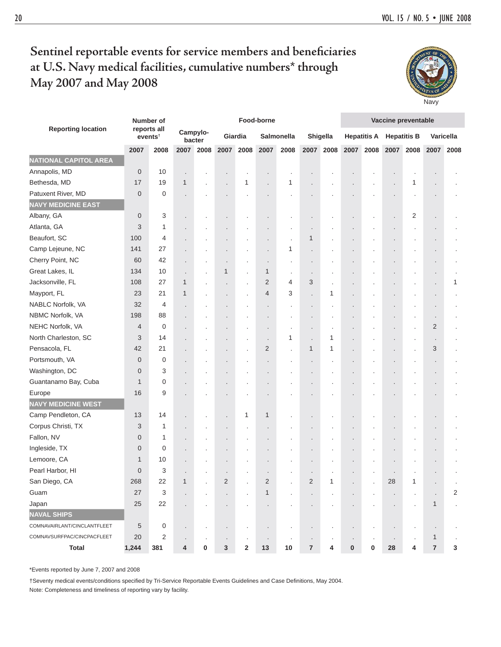# Sentinel reportable events for service members and beneficiaries **at U.S. Navy medical facilities, cumulative numbers\* through May 2007 and May 2008**



| <b>Reporting location</b>    |             | Number of                          |                          |                    |                         |         | Food-borne              |            |                         |           |   |                    | Vaccine preventable |                |                      |                  |
|------------------------------|-------------|------------------------------------|--------------------------|--------------------|-------------------------|---------|-------------------------|------------|-------------------------|-----------|---|--------------------|---------------------|----------------|----------------------|------------------|
|                              |             | reports all<br>events <sup>†</sup> |                          | Campylo-<br>bacter |                         | Giardia |                         | Salmonella |                         | Shigella  |   | <b>Hepatitis A</b> | <b>Hepatitis B</b>  |                |                      | <b>Varicella</b> |
|                              | 2007        | 2008                               | 2007                     | 2008               | 2007                    | 2008    | 2007                    | 2008       |                         | 2007 2008 |   | 2007 2008          |                     | 2007 2008      | 2007                 | 2008             |
| <b>NATIONAL CAPITOL AREA</b> |             |                                    |                          |                    |                         |         |                         |            |                         |           |   |                    |                     |                |                      |                  |
| Annapolis, MD                | 0           | 10                                 |                          |                    |                         |         |                         |            |                         |           |   |                    |                     |                |                      |                  |
| Bethesda, MD                 | 17          | 19                                 | 1                        |                    |                         | 1       |                         | 1          |                         |           |   |                    |                     | 1              |                      |                  |
| Patuxent River, MD           | $\mathbf 0$ | 0                                  |                          |                    |                         |         |                         |            |                         |           |   |                    |                     |                |                      |                  |
| <b>NAVY MEDICINE EAST</b>    |             |                                    |                          |                    |                         |         |                         |            |                         |           |   |                    |                     |                |                      |                  |
| Albany, GA                   | 0           | 3                                  |                          |                    | ٠                       |         |                         |            |                         |           |   |                    |                     | $\overline{2}$ | ٠                    |                  |
| Atlanta, GA                  | 3           | 1                                  |                          |                    |                         |         |                         |            |                         |           |   |                    |                     |                |                      |                  |
| Beaufort, SC                 | 100         | 4                                  |                          |                    |                         |         |                         |            | $\mathbf 1$             |           |   |                    |                     |                |                      |                  |
| Camp Lejeune, NC             | 141         | 27                                 |                          |                    | ٠                       |         |                         | 1          |                         |           |   |                    |                     |                | ٠                    |                  |
| Cherry Point, NC             | 60          | 42                                 |                          |                    |                         | ٠       | $\cdot$                 |            |                         |           |   |                    |                     |                | $\ddot{\phantom{0}}$ |                  |
| Great Lakes, IL              | 134         | 10                                 | $\overline{\phantom{a}}$ |                    | 1                       |         | 1                       | $\cdot$    |                         |           |   |                    |                     |                |                      |                  |
| Jacksonville, FL             | 108         | 27                                 | 1                        |                    | ٠                       | ×       | $\overline{2}$          | 4          | 3                       |           |   |                    |                     |                | $\blacksquare$       | 1                |
| Mayport, FL                  | 23          | 21                                 | 1                        |                    | $\blacksquare$          | ×       | 4                       | 3          |                         | 1         |   |                    |                     |                | $\blacksquare$       |                  |
| NABLC Norfolk, VA            | 32          | 4                                  |                          |                    | ٠                       |         |                         |            |                         |           |   |                    |                     |                | ٠                    |                  |
| NBMC Norfolk, VA             | 198         | 88                                 |                          |                    |                         |         |                         |            |                         |           |   |                    |                     |                |                      |                  |
| NEHC Norfolk, VA             | 4           | $\mathbf 0$                        |                          |                    |                         |         |                         |            |                         |           |   |                    |                     |                | 2                    |                  |
| North Charleston, SC         | 3           | 14                                 |                          |                    |                         | ٠       |                         | 1          |                         | 1         |   |                    |                     |                |                      |                  |
| Pensacola, FL                | 42          | 21                                 |                          |                    | $\ddot{\phantom{0}}$    |         | 2                       | $\cdot$    | 1                       | 1         |   |                    |                     |                | 3                    |                  |
| Portsmouth, VA               | $\mathbf 0$ | 0                                  |                          |                    |                         |         |                         |            |                         |           |   |                    |                     |                |                      |                  |
| Washington, DC               | 0           | 3                                  |                          |                    |                         |         |                         |            |                         |           |   |                    |                     |                | $\blacksquare$       |                  |
| Guantanamo Bay, Cuba         | 1           | 0                                  |                          |                    |                         |         |                         |            |                         |           |   |                    |                     |                | $\blacksquare$       |                  |
| Europe                       | 16          | 9                                  |                          |                    |                         |         |                         |            |                         |           |   |                    |                     |                |                      |                  |
| <b>NAVY MEDICINE WEST</b>    |             |                                    |                          |                    |                         |         |                         |            |                         |           |   |                    |                     |                |                      |                  |
| Camp Pendleton, CA           | 13          | 14                                 |                          |                    | $\ddot{\phantom{0}}$    | 1       | 1                       |            |                         |           |   |                    |                     |                |                      |                  |
| Corpus Christi, TX           | 3           | 1                                  |                          |                    | $\ddot{\phantom{0}}$    |         |                         |            |                         |           |   |                    |                     |                |                      |                  |
| Fallon, NV                   | 0           | 1                                  |                          |                    |                         |         |                         |            |                         |           |   |                    |                     |                |                      |                  |
| Ingleside, TX                | 0           | $\mathbf 0$                        |                          |                    |                         |         |                         |            |                         |           |   |                    |                     |                |                      |                  |
| Lemoore, CA                  | 1           | 10                                 |                          |                    |                         |         |                         |            |                         |           |   |                    |                     |                |                      |                  |
| Pearl Harbor, HI             | $\mathbf 0$ | 3                                  |                          |                    |                         |         |                         |            |                         |           |   |                    |                     |                |                      |                  |
| San Diego, CA                | 268         | 22                                 |                          |                    | $\overline{\mathbf{c}}$ |         | $\overline{\mathbf{c}}$ |            | $\overline{\mathbf{c}}$ |           |   |                    | 28                  |                |                      |                  |
| Guam                         | $27\,$      | 3                                  |                          |                    | ×,                      |         | 1                       |            |                         |           |   |                    |                     |                |                      | 2                |
| Japan                        | $25\,$      | 22                                 |                          |                    |                         |         |                         |            |                         |           |   |                    |                     |                | 1                    |                  |
| <b>NAVAL SHIPS</b>           |             |                                    |                          |                    |                         |         |                         |            |                         |           |   |                    |                     |                |                      |                  |
| COMNAVAIRLANT/CINCLANTFLEET  | 5           | 0                                  | $\blacksquare$           | $\cdot$            | $\blacksquare$          |         | $\cdot$                 | $\cdot$    |                         | ٠         |   |                    |                     | $\cdot$        | $\cdot$              |                  |
| COMNAVSURFPAC/CINCPACFLEET   | 20          | $\overline{2}$                     |                          |                    |                         |         |                         |            |                         |           |   |                    |                     |                | 1                    | $\cdot$          |
| <b>Total</b>                 | 1,244       | 381                                | 4                        | 0                  | 3                       | 2       | 13                      | 10         | $\overline{7}$          | 4         | 0 | 0                  | 28                  | 4              | $\overline{7}$       | 3                |

\*Events reported by June 7, 2007 and 2008

†Seventy medical events/conditions specified by Tri-Service Reportable Events Guidelines and Case Definitions, May 2004. Note: Completeness and timeliness of reporting vary by facility.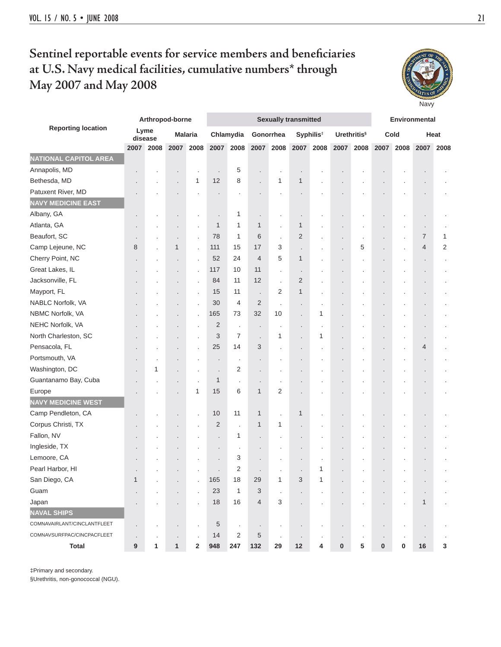# Sentinel reportable events for service members and beneficiaries **at U.S. Navy medical facilities, cumulative numbers\* through May 2007 and May 2008**

**Navy** 

|                              |             |                 | Arthropod-borne          |                |                |                      | <b>Sexually transmitted</b> | Environmental  |                |                       |           |                                |           |      |            |                |
|------------------------------|-------------|-----------------|--------------------------|----------------|----------------|----------------------|-----------------------------|----------------|----------------|-----------------------|-----------|--------------------------------|-----------|------|------------|----------------|
| <b>Reporting location</b>    |             | Lyme<br>disease |                          | <b>Malaria</b> |                | Chlamydia            | Gonorrhea                   |                |                | Syphilis <sup>#</sup> |           | <b>Urethritis</b> <sup>§</sup> |           | Cold |            | Heat           |
|                              | 2007        | 2008            | 2007                     | 2008           | 2007           | 2008                 | 2007                        | 2008           | 2007           | 2008                  | 2007      | 2008                           | 2007      | 2008 | 2007       | 2008           |
| <b>NATIONAL CAPITOL AREA</b> |             |                 |                          |                |                |                      |                             |                |                |                       |           |                                |           |      |            |                |
| Annapolis, MD                |             |                 |                          |                | $\cdot$        | 5                    |                             |                | $\cdot$        |                       |           |                                |           |      |            |                |
| Bethesda, MD                 |             |                 |                          | 1              | 12             | 8                    |                             | 1              | 1              |                       |           |                                |           |      |            |                |
| Patuxent River, MD           |             |                 |                          |                |                |                      |                             |                |                |                       |           |                                |           |      |            |                |
| <b>NAVY MEDICINE EAST</b>    |             |                 |                          |                |                |                      |                             |                |                |                       |           |                                |           |      |            |                |
| Albany, GA                   |             |                 |                          |                |                | 1                    |                             |                | $\blacksquare$ |                       |           |                                |           |      |            |                |
| Atlanta, GA                  |             |                 | ٠                        |                | $\mathbf{1}$   | 1                    | $\mathbf{1}$                |                | 1              |                       |           |                                |           |      | $\cdot$    |                |
| Beaufort, SC                 |             |                 | $\blacksquare$           |                | 78             | 1                    | 6                           |                | 2              |                       |           |                                |           |      | 7          | 1              |
| Camp Lejeune, NC             | 8           |                 | $\mathbf{1}$             | $\overline{a}$ | 111            | 15                   | 17                          | 3              |                |                       |           | 5                              |           |      | 4          | $\overline{2}$ |
| Cherry Point, NC             |             |                 |                          |                | 52             | 24                   | $\overline{4}$              | 5              | 1              |                       |           |                                |           |      |            |                |
| Great Lakes, IL              |             |                 |                          |                | 117            | 10                   | 11                          |                | $\cdot$        |                       |           |                                |           |      |            |                |
| Jacksonville, FL             |             |                 | $\blacksquare$           |                | 84             | 11                   | 12                          |                | 2              |                       |           |                                |           |      | $\bullet$  |                |
| Mayport, FL                  |             |                 |                          |                | 15             | 11                   | $\ddot{\phantom{a}}$        | $\overline{2}$ | 1              |                       |           |                                |           |      |            |                |
| NABLC Norfolk, VA            |             |                 | ٠                        |                | 30             | 4                    | $\overline{2}$              |                | $\cdot$        |                       |           |                                |           |      |            |                |
| NBMC Norfolk, VA             |             |                 | ٠                        | ÷              | 165            | 73                   | 32                          | 10             | $\cdot$        | 1                     |           |                                |           |      | $\cdot$    |                |
| NEHC Norfolk, VA             |             |                 | ٠                        |                | $\overline{2}$ | $\cdot$              | ٠                           | $\cdot$        | $\cdot$        | $\ddot{\phantom{a}}$  |           |                                |           |      | $\cdot$    |                |
| North Charleston, SC         |             |                 |                          |                | 3              | $\overline{7}$       |                             | 1              |                | 1                     |           |                                |           |      |            |                |
| Pensacola, FL                |             |                 |                          |                | 25             | 14                   | 3                           |                | $\cdot$        |                       |           |                                |           |      | 4          |                |
| Portsmouth, VA               |             |                 |                          |                | $\cdot$        | ٠                    |                             |                | $\cdot$        |                       |           |                                |           |      | $\cdot$    |                |
| Washington, DC               |             | 1               | $\overline{\phantom{a}}$ | $\cdot$        | $\cdot$        | 2                    |                             |                | $\cdot$        |                       |           |                                |           |      | $\cdot$    |                |
| Guantanamo Bay, Cuba         |             |                 | $\blacksquare$           |                | $\mathbf{1}$   | $\ddot{\phantom{0}}$ | $\ddot{\phantom{0}}$        | $\cdot$        | $\cdot$        |                       |           |                                |           |      |            |                |
| Europe                       |             |                 | $\overline{\phantom{a}}$ | 1              | 15             | 6                    | $\mathbf{1}$                | 2              | $\cdot$        |                       |           |                                |           |      |            |                |
| <b>NAVY MEDICINE WEST</b>    |             |                 |                          |                |                |                      |                             |                |                |                       |           |                                |           |      |            |                |
| Camp Pendleton, CA           |             |                 | $\blacksquare$           |                | 10             | 11                   | $\mathbf{1}$                | $\cdot$        | 1              |                       |           |                                |           |      | $\cdot$    |                |
| Corpus Christi, TX           |             |                 | $\overline{\phantom{a}}$ |                | $\overline{2}$ | l.                   | 1                           | 1              | $\cdot$        |                       |           |                                |           |      |            |                |
| Fallon, NV                   |             |                 |                          |                |                | 1                    |                             |                | $\cdot$        |                       |           |                                |           |      | $\cdot$    |                |
| Ingleside, TX                |             |                 |                          |                |                | ×                    |                             |                | $\cdot$        |                       |           |                                |           |      | $\cdot$    |                |
| Lemoore, CA                  |             |                 |                          |                |                | 3                    |                             |                | $\cdot$        |                       |           |                                |           |      |            |                |
| Pearl Harbor, HI             |             |                 |                          |                |                | 2                    |                             |                |                | 1                     |           |                                |           |      |            |                |
| San Diego, CA                | $\mathbf 1$ |                 |                          |                | 165            | 18                   | 29                          | 1              | 3              | 1                     |           |                                |           |      |            |                |
| Guam                         |             |                 |                          |                | 23             | 1                    | 3                           |                |                |                       |           |                                |           |      |            |                |
| Japan                        |             |                 |                          |                | 18             | 16                   | $\overline{4}$              | 3              | $\cdot$        |                       |           |                                |           |      | 1          |                |
| <b>NAVAL SHIPS</b>           |             |                 |                          |                |                |                      |                             |                |                |                       |           |                                |           |      |            |                |
| COMNAVAIRLANT/CINCLANTFLEET  |             |                 | $\blacksquare$           |                | 5              | $\cdot$              | $\cdot$                     |                |                |                       |           |                                |           |      | $\cdot$    |                |
| COMNAVSURFPAC/CINCPACFLEET   |             |                 |                          |                | 14             | 2                    | 5                           | $\cdot$        | $\cdot$        |                       |           |                                |           |      |            |                |
| <b>Total</b>                 | 9           | 1               | $\mathbf{1}$             | $\overline{2}$ | 948            | 247                  | 132                         | 29             | $12$           | 4                     | $\pmb{0}$ | 5                              | $\pmb{0}$ | 0    | ${\bf 16}$ | 3              |

‡Primary and secondary.

§Urethritis, non-gonococcal (NGU).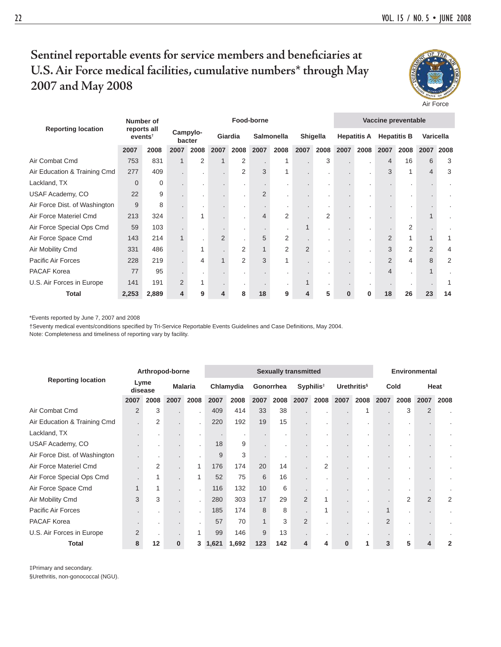Air Force

### Sentinel reportable events for service members and beneficiaries at **U.S. Air Force medical facilities, cumulative numbers\* through May 2007 and May 2008**

| <b>Reporting location</b>     | Number of<br>reports all<br>events <sup>†</sup> |       | Food-borne         |      |                |                |                |                |                 |      |                    | Vaccine preventable |                    |      |                |      |  |  |
|-------------------------------|-------------------------------------------------|-------|--------------------|------|----------------|----------------|----------------|----------------|-----------------|------|--------------------|---------------------|--------------------|------|----------------|------|--|--|
|                               |                                                 |       | Campylo-<br>bacter |      | Giardia        |                | Salmonella     |                | <b>Shigella</b> |      | <b>Hepatitis A</b> |                     | <b>Hepatitis B</b> |      | Varicella      |      |  |  |
|                               | 2007                                            | 2008  | 2007               | 2008 | 2007           | 2008           | 2007           | 2008           | 2007            | 2008 | 2007               | 2008                | 2007               | 2008 | 2007           | 2008 |  |  |
| Air Combat Cmd                | 753                                             | 831   |                    | 2    |                | 2              |                |                |                 | 3    |                    |                     | 4                  | 16   | 6              | 3    |  |  |
| Air Education & Training Cmd  | 277                                             | 409   |                    |      |                | 2              | 3              |                |                 |      |                    |                     | 3                  |      | 4              | 3    |  |  |
| Lackland, TX                  | $\mathbf 0$                                     | 0     |                    |      |                |                |                |                |                 |      |                    |                     |                    |      |                |      |  |  |
| USAF Academy, CO              | 22                                              | 9     |                    |      |                |                | $\overline{2}$ |                |                 |      |                    |                     |                    |      |                |      |  |  |
| Air Force Dist. of Washington | 9                                               | 8     |                    |      |                |                |                |                |                 |      |                    |                     |                    |      |                |      |  |  |
| Air Force Materiel Cmd        | 213                                             | 324   |                    | 1    |                |                | 4              | 2              |                 | 2    |                    |                     |                    |      |                |      |  |  |
| Air Force Special Ops Cmd     | 59                                              | 103   |                    |      |                |                |                |                |                 |      |                    |                     |                    | 2    |                |      |  |  |
| Air Force Space Cmd           | 143                                             | 214   |                    |      | $\overline{2}$ |                | 5              | $\overline{2}$ |                 |      |                    |                     | $\overline{2}$     |      | 1              |      |  |  |
| Air Mobility Cmd              | 331                                             | 486   |                    | 1    |                | $\overline{2}$ |                | $\overline{2}$ | 2               |      |                    |                     | 3                  | 2    | $\overline{2}$ | 4    |  |  |
| Pacific Air Forces            | 228                                             | 219   |                    | 4    |                | $\overline{2}$ | 3              |                |                 |      |                    |                     | $\overline{2}$     | 4    | 8              | 2    |  |  |
| PACAF Korea                   | 77                                              | 95    |                    |      |                |                |                |                |                 |      |                    |                     |                    |      |                |      |  |  |
| U.S. Air Forces in Europe     | 141                                             | 191   | $\overline{2}$     | 1    |                |                |                |                |                 |      |                    |                     |                    |      |                |      |  |  |
| Total                         | 2,253                                           | 2,889 | 4                  | 9    |                | 8              | 18             | 9              |                 | 5    | 0                  | 0                   | 18                 | 26   | 23             | 14   |  |  |

\*Events reported by June 7, 2007 and 2008

†Seventy medical events/conditions specified by Tri-Service Reportable Events Guidelines and Case Definitions, May 2004.

Note: Completeness and timeliness of reporting vary by facility.

| <b>Reporting location</b>     | Arthropod-borne |                |                |      | <b>Sexually transmitted</b> |       |           |      |                       |      |                         |      |                | <b>Environmental</b> |                |      |  |  |
|-------------------------------|-----------------|----------------|----------------|------|-----------------------------|-------|-----------|------|-----------------------|------|-------------------------|------|----------------|----------------------|----------------|------|--|--|
|                               | Lyme<br>disease |                | <b>Malaria</b> |      | Chlamydia                   |       | Gonorrhea |      | Syphilis <sup>#</sup> |      | Urethritis <sup>§</sup> |      | Cold           |                      | Heat           |      |  |  |
|                               | 2007            | 2008           | 2007           | 2008 | 2007                        | 2008  | 2007      | 2008 | 2007                  | 2008 | 2007                    | 2008 | 2007           | 2008                 | 2007           | 2008 |  |  |
| Air Combat Cmd                | $\overline{2}$  | 3              |                |      | 409                         | 414   | 33        | 38   |                       |      |                         | 1    |                | 3                    | $\overline{2}$ |      |  |  |
| Air Education & Training Cmd  |                 | $\overline{2}$ |                |      | 220                         | 192   | 19        | 15   |                       |      |                         |      |                |                      |                |      |  |  |
| Lackland, TX                  |                 |                |                |      |                             | ٠     |           |      |                       | ٠    |                         |      |                |                      |                |      |  |  |
| USAF Academy, CO              |                 |                |                |      | 18                          | 9     |           |      |                       |      |                         |      |                |                      |                |      |  |  |
| Air Force Dist. of Washington |                 |                |                |      | 9                           | 3     |           |      |                       |      |                         |      |                |                      |                |      |  |  |
| Air Force Materiel Cmd        |                 | $\overline{2}$ |                |      | 176                         | 174   | 20        | 14   |                       | 2    |                         |      |                |                      |                |      |  |  |
| Air Force Special Ops Cmd     |                 | 1              |                |      | 52                          | 75    | 6         | 16   |                       |      |                         |      |                |                      |                |      |  |  |
| Air Force Space Cmd           |                 | 1              |                |      | 116                         | 132   | 10        | 6    |                       | ٠    |                         |      |                |                      |                |      |  |  |
| Air Mobility Cmd              | 3               | 3              |                |      | 280                         | 303   | 17        | 29   | $\overline{2}$        | 1    |                         |      |                | 2                    | $\overline{2}$ | 2    |  |  |
| Pacific Air Forces            |                 |                |                |      | 185                         | 174   | 8         | 8    |                       |      |                         |      |                |                      |                |      |  |  |
| PACAF Korea                   |                 |                |                |      | 57                          | 70    |           | 3    | $\overline{2}$        |      |                         |      | $\overline{2}$ |                      |                |      |  |  |
| U.S. Air Forces in Europe     | 2               |                |                |      | 99                          | 146   | 9         | 13   |                       | ٠    |                         |      |                |                      |                |      |  |  |
| <b>Total</b>                  | 8               | 12             | $\bf{0}$       | 3    | 1,621                       | 1,692 | 123       | 142  | 4                     | 4    | $\Omega$                | 1    | 3              | 5                    | Δ              | 2    |  |  |

‡Primary and secondary.

§Urethritis, non-gonococcal (NGU).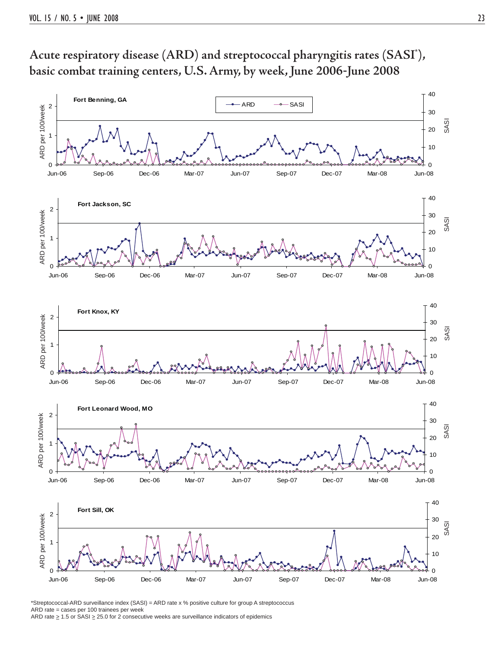

**Acute respiratory disease (ARD) and streptococcal pharyngitis rates (SASI\* ), basic combat training centers, U.S. Army, by week, June 2006**-**June 2008**

\*Streptococcal-ARD surveillance index (SASI) = ARD rate x % positive culture for group A streptococcus ARD rate = cases per 100 trainees per week ARD rate  $\geq 1.5$  or SASI  $\geq 25.0$  for 2 consecutive weeks are surveillance indicators of epidemics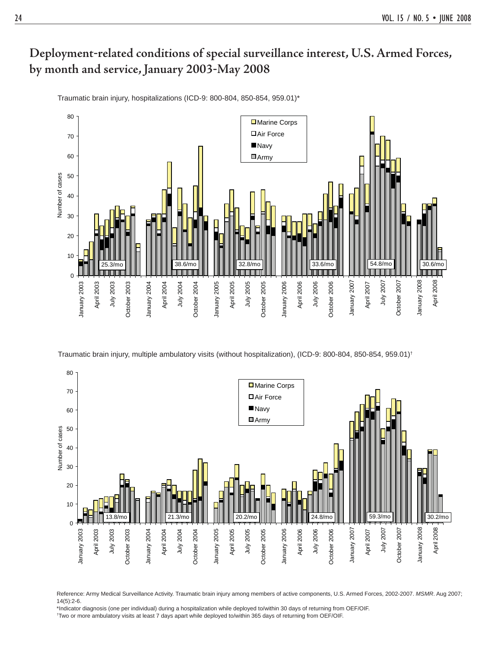Traumatic brain injury, hospitalizations (ICD-9: 800-804, 850-854, 959.01)\*



Traumatic brain injury, multiple ambulatory visits (without hospitalization), (ICD-9: 800-804, 850-854, 959.01)†



Reference: Army Medical Surveillance Activity. Traumatic brain injury among members of active components, U.S. Armed Forces, 2002-2007. *MSMR*. Aug 2007; 14(5):2-6.

\*Indicator diagnosis (one per individual) during a hospitalization while deployed to/within 30 days of returning from OEF/OIF. † Two or more ambulatory visits at least 7 days apart while deployed to/within 365 days of returning from OEF/OIF.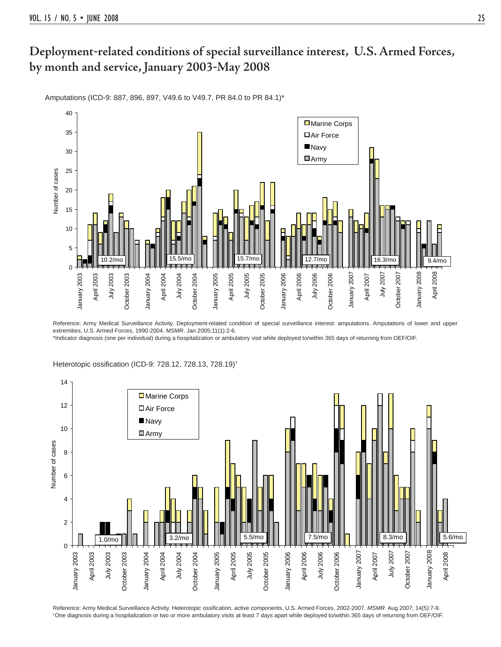Amputations (ICD-9: 887, 896, 897, V49.6 to V49.7, PR 84.0 to PR 84.1)\*



Reference: Army Medical Surveillance Activity. Deployment-related condition of special surveillance interest: amputations. Amputations of lower and upper extremities, U.S. Armed Forces, 1990-2004. *MSMR*. Jan 2005;11(1):2-6.

\*Indicator diagnosis (one per individual) during a hospitalization or ambulatory visit while deployed to/within 365 days of returning from OEF/OIF.



Heterotopic ossification (ICD-9: 728.12, 728.13, 728.19)<sup>†</sup>

Reference: Army Medical Surveillance Activity. Heterotopic ossification, active components, U.S. Armed Forces, 2002-2007. MSMR. Aug 2007; 14(5):7-9. † One diagnosis during a hospitalization or two or more ambulatory visits at least 7 days apart while deployed to/within 365 days of returning from OEF/OIF.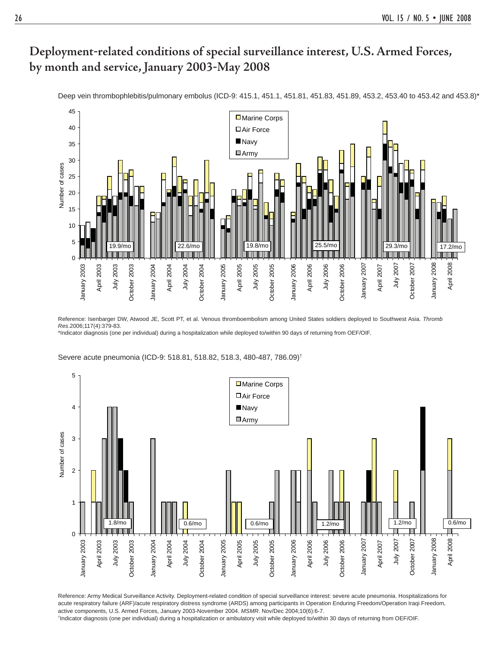

Deep vein thrombophlebitis/pulmonary embolus (ICD-9: 415.1, 451.1, 451.81, 451.83, 451.89, 453.2, 453.40 to 453.42 and 453.8)\*

Reference: Isenbarger DW, Atwood JE, Scott PT, et al. Venous thromboembolism among United States soldiers deployed to Southwest Asia. *Thromb Res*.2006;117(4):379-83.

\*Indicator diagnosis (one per individual) during a hospitalization while deployed to/within 90 days of returning from OEF/OIF.

Severe acute pneumonia (ICD-9: 518.81, 518.82, 518.3, 480-487, 786.09)†



Reference: Army Medical Surveillance Activity. Deployment-related condition of special surveillance interest: severe acute pneumonia. Hospitalizations for acute respiratory failure (ARF)/acute respiratory distress syndrome (ARDS) among participants in Operation Enduring Freedom/Operation Iraqi Freedom, active components, U.S. Armed Forces, January 2003-November 2004. *MSMR*. Nov/Dec 2004;10(6):6-7. † Indicator diagnosis (one per individual) during a hospitalization or ambulatory visit while deployed to/within 30 days of returning from OEF/OIF.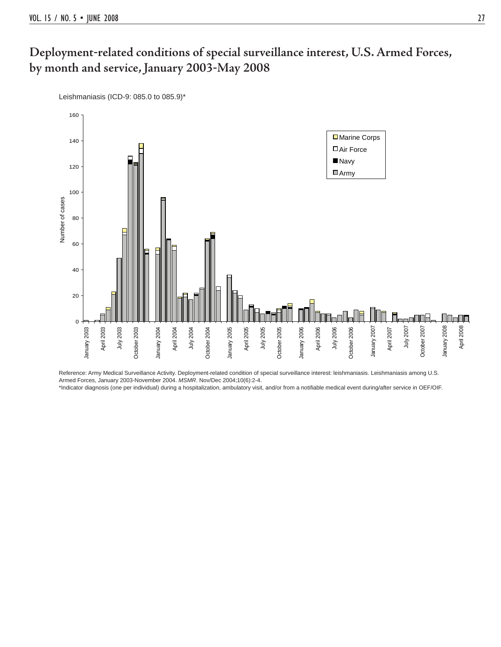Leishmaniasis (ICD-9: 085.0 to 085.9)\*



Reference: Army Medical Surveillance Activity. Deployment-related condition of special surveillance interest: leishmaniasis. Leishmaniasis among U.S. Armed Forces, January 2003-November 2004. *MSMR*. Nov/Dec 2004;10(6):2-4.

\*Indicator diagnosis (one per individual) during a hospitalization, ambulatory visit, and/or from a notifiable medical event during/after service in OEF/OIF.